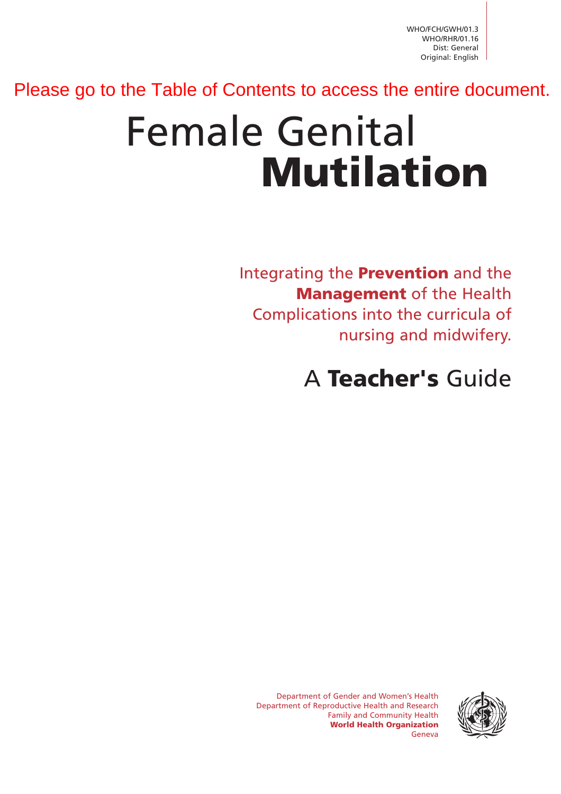WHO/FCH/GWH/01.3 WHO/RHR/01.16 Dist: General Original: English

Please go to the Table of Contents to access the entire document.

# Female Genital **Mutilation**

Integrating the **Prevention** and the **Management** of the Health Complications into the curricula of nursing and midwifery.

A **Teacher's** Guide

Department of Gender and Women's Health Department of Reproductive Health and Research Family and Community Health **World Health Organization** Geneva

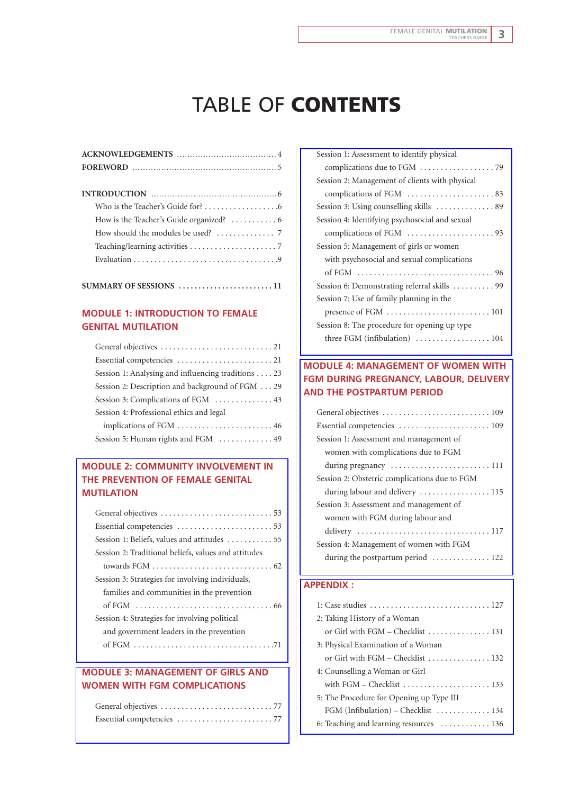# TABLE OF **CONTENTS**

| Who is the Teacher's Guide for? $\dots\dots\dots\dots\dots\dots$                |
|---------------------------------------------------------------------------------|
| How is the Teacher's Guide organized? $\dots\dots\dots\dots$                    |
|                                                                                 |
| Teaching/learning activities $\ldots \ldots \ldots \ldots \ldots \ldots \ldots$ |
|                                                                                 |
|                                                                                 |

|--|--|

#### **MODULE 1: INTRODUCTION TO FEMALE GENITAL MUTILATION**

| Session 1: Analysing and influencing traditions $\dots$ 23 |
|------------------------------------------------------------|
| Session 2: Description and background of FGM 29            |
|                                                            |
| Session 4: Professional ethics and legal                   |
| implications of FGM  46                                    |
| Session 5: Human rights and FGM  49                        |

#### **[MODULE 2: COMMUNITY INVOLVEMENT IN](http://whqlibdoc.who.int/hq/2001/WHO_FCH_GWH_01.3_mod2.pdf) THE PREVENTION OF FEMALE GENITAL MUTILATION**

| Session 1: Beliefs, values and attitudes $\dots \dots \dots \dots$ |
|--------------------------------------------------------------------|
| Session 2: Traditional beliefs, values and attitudes               |
|                                                                    |
| Session 3: Strategies for involving individuals,                   |
| families and communities in the prevention                         |
|                                                                    |
| Session 4: Strategies for involving political                      |
| and government leaders in the prevention                           |
|                                                                    |

#### **[MODULE 3: MANAGEMENT OF GIRLS AND](http://whqlibdoc.who.int/hq/2001/WHO_FCH_GWH_01.3_mod3.pdf) WOMEN WITH FGM COMPLICATIONS**

| Session 1: Assessment to identify physical                    |  |
|---------------------------------------------------------------|--|
|                                                               |  |
| Session 2: Management of clients with physical                |  |
|                                                               |  |
| Session 3: Using counselling skills  89                       |  |
| Session 4: Identifying psychosocial and sexual                |  |
|                                                               |  |
| Session 5: Management of girls or women                       |  |
| with psychosocial and sexual complications                    |  |
|                                                               |  |
| Session 6: Demonstrating referral skills  99                  |  |
| Session 7: Use of family planning in the                      |  |
|                                                               |  |
| Session 8: The procedure for opening up type                  |  |
| three FGM (infibulation) $\dots\dots\dots\dots\dots\dots$ 104 |  |
|                                                               |  |

#### **MODULE 4: MANAGEMENT OF WOMEN WITH [FGM DURING PREGNANCY, LABOUR, DELIVERY](http://whqlibdoc.who.int/hq/2001/WHO_FCH_GWH_01.3_mod4.pdf) AND THE POSTPARTUM PERIOD**

#### **APPENDIX :**

| 2: Taking History of a Woman                                       |
|--------------------------------------------------------------------|
| or Girl with FGM – Checklist  131                                  |
| 3: Physical Examination of a Woman                                 |
| or Girl with FGM - Checklist  132                                  |
| 4: Counselling a Woman or Girl                                     |
|                                                                    |
| 5: The Procedure for Opening up Type III                           |
| FGM (Infibulation) – Checklist $\dots \dots \dots \dots \dots$ 134 |
| 6: Teaching and learning resources  136                            |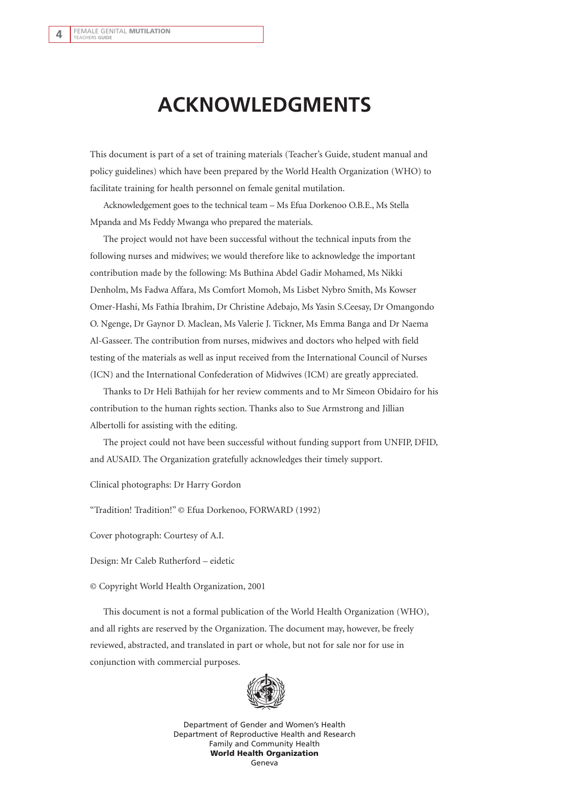# **ACKNOWLEDGMENTS**

This document is part of a set of training materials (Teacher's Guide, student manual and policy guidelines) which have been prepared by the World Health Organization (WHO) to facilitate training for health personnel on female genital mutilation.

Acknowledgement goes to the technical team – Ms Efua Dorkenoo O.B.E., Ms Stella Mpanda and Ms Feddy Mwanga who prepared the materials.

The project would not have been successful without the technical inputs from the following nurses and midwives; we would therefore like to acknowledge the important contribution made by the following: Ms Buthina Abdel Gadir Mohamed, Ms Nikki Denholm, Ms Fadwa Affara, Ms Comfort Momoh, Ms Lisbet Nybro Smith, Ms Kowser Omer-Hashi, Ms Fathia Ibrahim, Dr Christine Adebajo, Ms Yasin S.Ceesay, Dr Omangondo O. Ngenge, Dr Gaynor D. Maclean, Ms Valerie J. Tickner, Ms Emma Banga and Dr Naema Al-Gasseer. The contribution from nurses, midwives and doctors who helped with field testing of the materials as well as input received from the International Council of Nurses (ICN) and the International Confederation of Midwives (ICM) are greatly appreciated.

Thanks to Dr Heli Bathijah for her review comments and to Mr Simeon Obidairo for his contribution to the human rights section. Thanks also to Sue Armstrong and Jillian Albertolli for assisting with the editing.

The project could not have been successful without funding support from UNFIP, DFID, and AUSAID. The Organization gratefully acknowledges their timely support.

Clinical photographs: Dr Harry Gordon

"Tradition! Tradition!" © Efua Dorkenoo, FORWARD (1992)

Cover photograph: Courtesy of A.I.

Design: Mr Caleb Rutherford – eidetic

© Copyright World Health Organization, 2001

This document is not a formal publication of the World Health Organization (WHO), and all rights are reserved by the Organization. The document may, however, be freely reviewed, abstracted, and translated in part or whole, but not for sale nor for use in conjunction with commercial purposes.



Department of Gender and Women's Health Department of Reproductive Health and Research Family and Community Health **World Health Organization** Geneva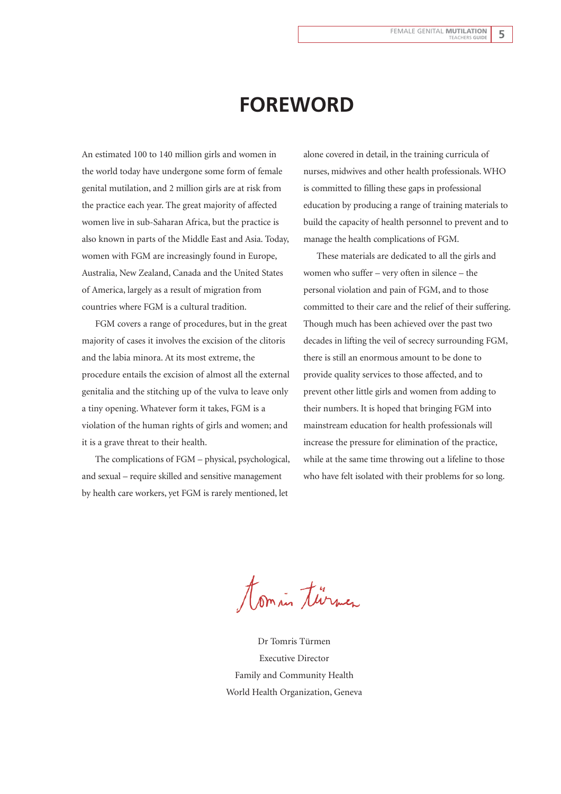# **FOREWORD**

An estimated 100 to 140 million girls and women in the world today have undergone some form of female genital mutilation, and 2 million girls are at risk from the practice each year. The great majority of affected women live in sub-Saharan Africa, but the practice is also known in parts of the Middle East and Asia. Today, women with FGM are increasingly found in Europe, Australia, New Zealand, Canada and the United States of America, largely as a result of migration from countries where FGM is a cultural tradition.

FGM covers a range of procedures, but in the great majority of cases it involves the excision of the clitoris and the labia minora. At its most extreme, the procedure entails the excision of almost all the external genitalia and the stitching up of the vulva to leave only a tiny opening. Whatever form it takes, FGM is a violation of the human rights of girls and women; and it is a grave threat to their health.

The complications of FGM – physical, psychological, and sexual – require skilled and sensitive management by health care workers, yet FGM is rarely mentioned, let

alone covered in detail, in the training curricula of nurses, midwives and other health professionals. WHO is committed to filling these gaps in professional education by producing a range of training materials to build the capacity of health personnel to prevent and to manage the health complications of FGM.

These materials are dedicated to all the girls and women who suffer – very often in silence – the personal violation and pain of FGM, and to those committed to their care and the relief of their suffering. Though much has been achieved over the past two decades in lifting the veil of secrecy surrounding FGM, there is still an enormous amount to be done to provide quality services to those affected, and to prevent other little girls and women from adding to their numbers. It is hoped that bringing FGM into mainstream education for health professionals will increase the pressure for elimination of the practice, while at the same time throwing out a lifeline to those who have felt isolated with their problems for so long.

tomin turner

Dr Tomris Türmen Executive Director Family and Community Health World Health Organization, Geneva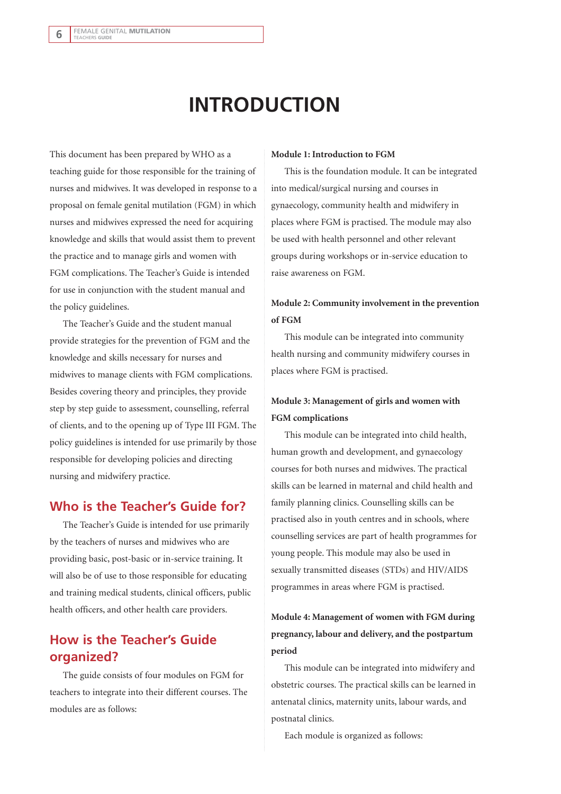# **INTRODUCTION**

This document has been prepared by WHO as a teaching guide for those responsible for the training of nurses and midwives. It was developed in response to a proposal on female genital mutilation (FGM) in which nurses and midwives expressed the need for acquiring knowledge and skills that would assist them to prevent the practice and to manage girls and women with FGM complications. The Teacher's Guide is intended for use in conjunction with the student manual and the policy guidelines.

The Teacher's Guide and the student manual provide strategies for the prevention of FGM and the knowledge and skills necessary for nurses and midwives to manage clients with FGM complications. Besides covering theory and principles, they provide step by step guide to assessment, counselling, referral of clients, and to the opening up of Type III FGM. The policy guidelines is intended for use primarily by those responsible for developing policies and directing nursing and midwifery practice.

### **Who is the Teacher's Guide for?**

The Teacher's Guide is intended for use primarily by the teachers of nurses and midwives who are providing basic, post-basic or in-service training. It will also be of use to those responsible for educating and training medical students, clinical officers, public health officers, and other health care providers.

# **How is the Teacher's Guide organized?**

The guide consists of four modules on FGM for teachers to integrate into their different courses. The modules are as follows:

#### **Module 1: Introduction to FGM**

This is the foundation module. It can be integrated into medical/surgical nursing and courses in gynaecology, community health and midwifery in places where FGM is practised. The module may also be used with health personnel and other relevant groups during workshops or in-service education to raise awareness on FGM.

# **Module 2: Community involvement in the prevention of FGM**

This module can be integrated into community health nursing and community midwifery courses in places where FGM is practised.

# **Module 3: Management of girls and women with FGM complications**

This module can be integrated into child health, human growth and development, and gynaecology courses for both nurses and midwives. The practical skills can be learned in maternal and child health and family planning clinics. Counselling skills can be practised also in youth centres and in schools, where counselling services are part of health programmes for young people. This module may also be used in sexually transmitted diseases (STDs) and HIV/AIDS programmes in areas where FGM is practised.

# **Module 4: Management of women with FGM during pregnancy, labour and delivery, and the postpartum period**

This module can be integrated into midwifery and obstetric courses. The practical skills can be learned in antenatal clinics, maternity units, labour wards, and postnatal clinics.

Each module is organized as follows: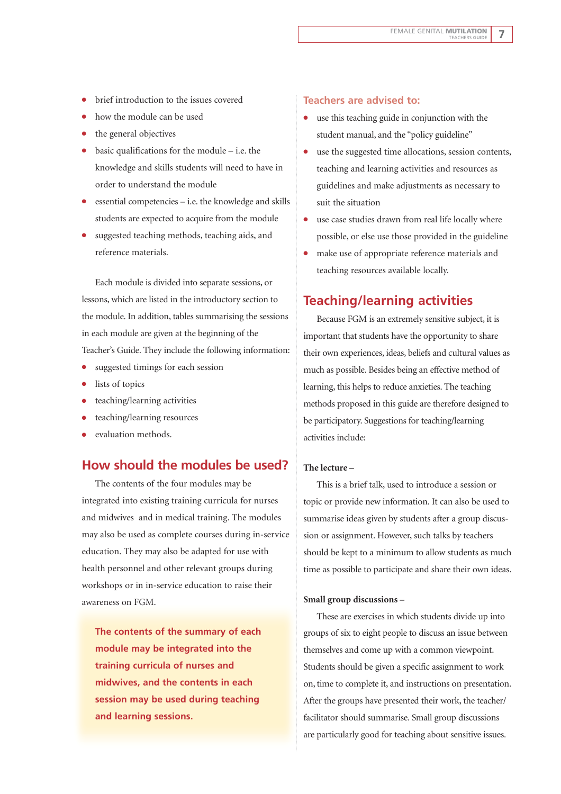- brief introduction to the issues covered
- how the module can be used
- the general objectives
- basic qualifications for the module  $-$  i.e. the knowledge and skills students will need to have in order to understand the module
- $e$ ssential competencies i.e. the knowledge and skills students are expected to acquire from the module
- suggested teaching methods, teaching aids, and reference materials.

Each module is divided into separate sessions, or lessons, which are listed in the introductory section to the module. In addition, tables summarising the sessions in each module are given at the beginning of the Teacher's Guide. They include the following information:

- suggested timings for each session
- lists of topics
- teaching/learning activities
- teaching/learning resources
- evaluation methods.

## **How should the modules be used?**

The contents of the four modules may be integrated into existing training curricula for nurses and midwives and in medical training. The modules may also be used as complete courses during in-service education. They may also be adapted for use with health personnel and other relevant groups during workshops or in in-service education to raise their awareness on FGM.

**The contents of the summary of each module may be integrated into the training curricula of nurses and midwives, and the contents in each session may be used during teaching and learning sessions.**

#### **Teachers are advised to:**

- use this teaching guide in conjunction with the student manual, and the "policy guideline"
- use the suggested time allocations, session contents, teaching and learning activities and resources as guidelines and make adjustments as necessary to suit the situation
- use case studies drawn from real life locally where possible, or else use those provided in the guideline
- make use of appropriate reference materials and teaching resources available locally.

#### **Teaching/learning activities**

Because FGM is an extremely sensitive subject, it is important that students have the opportunity to share their own experiences, ideas, beliefs and cultural values as much as possible. Besides being an effective method of learning, this helps to reduce anxieties. The teaching methods proposed in this guide are therefore designed to be participatory. Suggestions for teaching/learning activities include:

#### **The lecture –**

This is a brief talk, used to introduce a session or topic or provide new information. It can also be used to summarise ideas given by students after a group discussion or assignment. However, such talks by teachers should be kept to a minimum to allow students as much time as possible to participate and share their own ideas.

#### **Small group discussions –**

These are exercises in which students divide up into groups of six to eight people to discuss an issue between themselves and come up with a common viewpoint. Students should be given a specific assignment to work on, time to complete it, and instructions on presentation. After the groups have presented their work, the teacher/ facilitator should summarise. Small group discussions are particularly good for teaching about sensitive issues.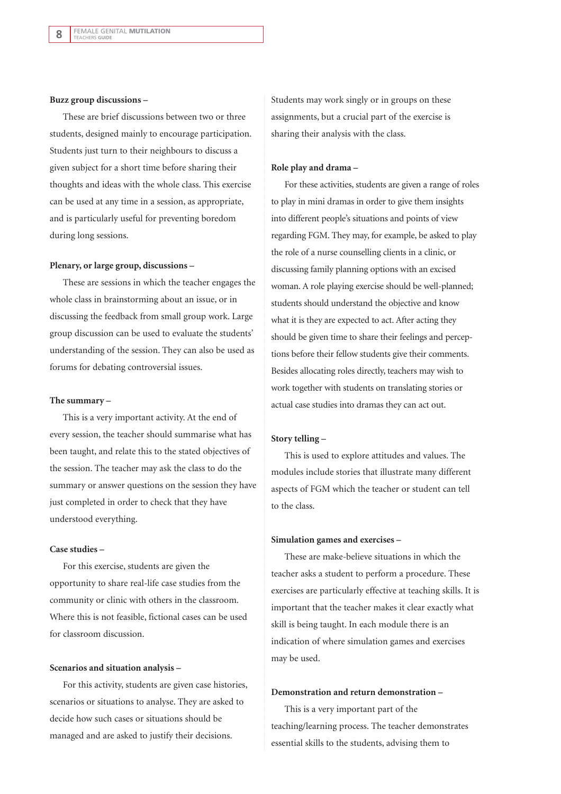#### **Buzz group discussions –**

These are brief discussions between two or three students, designed mainly to encourage participation. Students just turn to their neighbours to discuss a given subject for a short time before sharing their thoughts and ideas with the whole class. This exercise can be used at any time in a session, as appropriate, and is particularly useful for preventing boredom during long sessions.

#### **Plenary, or large group, discussions –**

These are sessions in which the teacher engages the whole class in brainstorming about an issue, or in discussing the feedback from small group work. Large group discussion can be used to evaluate the students' understanding of the session. They can also be used as forums for debating controversial issues.

#### **The summary –**

This is a very important activity. At the end of every session, the teacher should summarise what has been taught, and relate this to the stated objectives of the session. The teacher may ask the class to do the summary or answer questions on the session they have just completed in order to check that they have understood everything.

#### **Case studies –**

For this exercise, students are given the opportunity to share real-life case studies from the community or clinic with others in the classroom. Where this is not feasible, fictional cases can be used for classroom discussion.

#### **Scenarios and situation analysis –**

For this activity, students are given case histories, scenarios or situations to analyse. They are asked to decide how such cases or situations should be managed and are asked to justify their decisions.

Students may work singly or in groups on these assignments, but a crucial part of the exercise is sharing their analysis with the class.

#### **Role play and drama –**

For these activities, students are given a range of roles to play in mini dramas in order to give them insights into different people's situations and points of view regarding FGM. They may, for example, be asked to play the role of a nurse counselling clients in a clinic, or discussing family planning options with an excised woman. A role playing exercise should be well-planned; students should understand the objective and know what it is they are expected to act. After acting they should be given time to share their feelings and perceptions before their fellow students give their comments. Besides allocating roles directly, teachers may wish to work together with students on translating stories or actual case studies into dramas they can act out.

#### **Story telling –**

This is used to explore attitudes and values. The modules include stories that illustrate many different aspects of FGM which the teacher or student can tell to the class.

#### **Simulation games and exercises –**

These are make-believe situations in which the teacher asks a student to perform a procedure. These exercises are particularly effective at teaching skills. It is important that the teacher makes it clear exactly what skill is being taught. In each module there is an indication of where simulation games and exercises may be used.

#### **Demonstration and return demonstration –**

This is a very important part of the teaching/learning process. The teacher demonstrates essential skills to the students, advising them to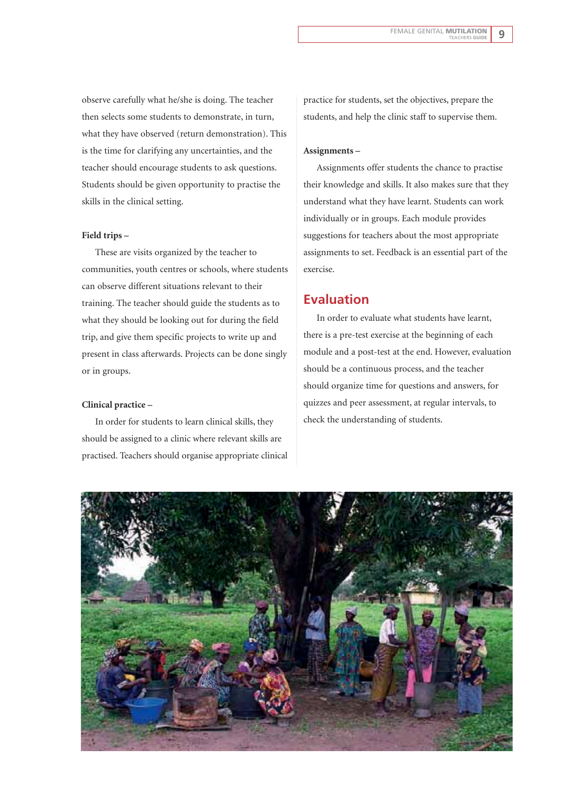observe carefully what he/she is doing. The teacher then selects some students to demonstrate, in turn, what they have observed (return demonstration). This is the time for clarifying any uncertainties, and the teacher should encourage students to ask questions. Students should be given opportunity to practise the skills in the clinical setting.

#### **Field trips –**

These are visits organized by the teacher to communities, youth centres or schools, where students can observe different situations relevant to their training. The teacher should guide the students as to what they should be looking out for during the field trip, and give them specific projects to write up and present in class afterwards. Projects can be done singly or in groups.

#### **Clinical practice –**

In order for students to learn clinical skills, they should be assigned to a clinic where relevant skills are practised. Teachers should organise appropriate clinical practice for students, set the objectives, prepare the students, and help the clinic staff to supervise them.

#### **Assignments –**

Assignments offer students the chance to practise their knowledge and skills. It also makes sure that they understand what they have learnt. Students can work individually or in groups. Each module provides suggestions for teachers about the most appropriate assignments to set. Feedback is an essential part of the exercise.

### **Evaluation**

In order to evaluate what students have learnt, there is a pre-test exercise at the beginning of each module and a post-test at the end. However, evaluation should be a continuous process, and the teacher should organize time for questions and answers, for quizzes and peer assessment, at regular intervals, to check the understanding of students.

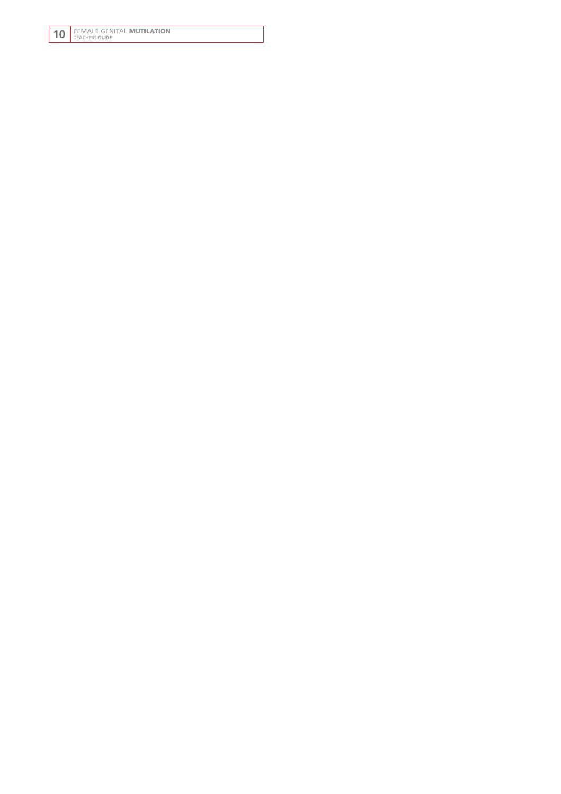FEMALE GENITAL **MUTILATION**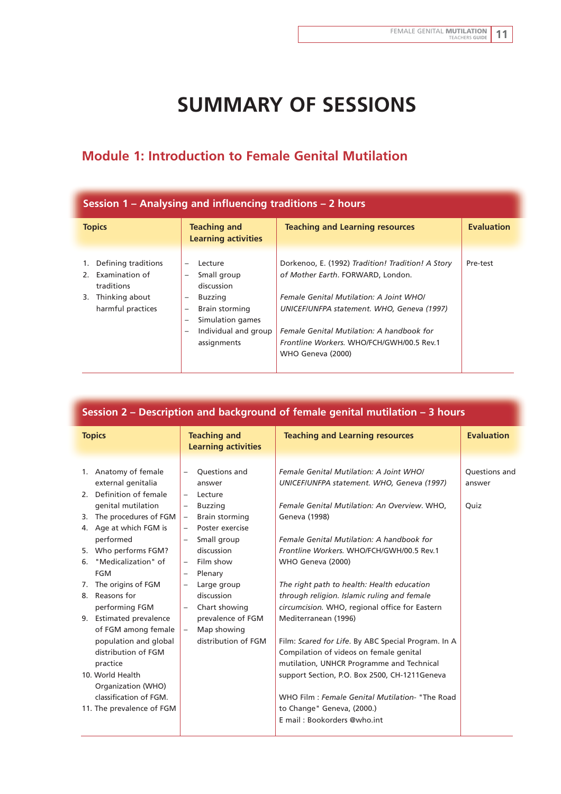# **SUMMARY OF SESSIONS**

# **Module 1: Introduction to Female Genital Mutilation**

| Session 1 - Analysing and influencing traditions - 2 hours                                       |                                                                                                                       |                                                                                                                                                                                 |                   |  |  |  |  |  |
|--------------------------------------------------------------------------------------------------|-----------------------------------------------------------------------------------------------------------------------|---------------------------------------------------------------------------------------------------------------------------------------------------------------------------------|-------------------|--|--|--|--|--|
| <b>Topics</b>                                                                                    | <b>Teaching and</b><br><b>Learning activities</b>                                                                     | <b>Teaching and Learning resources</b>                                                                                                                                          | <b>Evaluation</b> |  |  |  |  |  |
| Defining traditions<br>2. Examination of<br>traditions<br>3. Thinking about<br>harmful practices | Lecture<br>-<br>Small group<br>-<br>discussion<br><b>Buzzing</b><br>-<br>Brain storming<br>—<br>Simulation games<br>- | Dorkenoo, E. (1992) Tradition! Tradition! A Story<br>of Mother Earth. FORWARD, London.<br>Female Genital Mutilation: A Joint WHO/<br>UNICEF/UNFPA statement. WHO, Geneva (1997) | Pre-test          |  |  |  |  |  |
|                                                                                                  | Individual and group<br>—<br>assignments                                                                              | Female Genital Mutilation: A handbook for<br>Frontline Workers, WHO/FCH/GWH/00.5 Rev.1<br>WHO Geneva (2000)                                                                     |                   |  |  |  |  |  |

# **Session 2 – Description and background of female genital mutilation – 3 hours**

| <b>Topics</b>                                                                                                                                        | <b>Teaching and</b><br><b>Learning activities</b>                                                                                                                                                                | <b>Teaching and Learning resources</b>                                                                                                                              | <b>Evaluation</b>               |
|------------------------------------------------------------------------------------------------------------------------------------------------------|------------------------------------------------------------------------------------------------------------------------------------------------------------------------------------------------------------------|---------------------------------------------------------------------------------------------------------------------------------------------------------------------|---------------------------------|
| 1. Anatomy of female<br>external genitalia<br>2. Definition of female<br>genital mutilation<br>The procedures of FGM<br>3.<br>4. Age at which FGM is | Questions and<br>$\qquad \qquad -$<br>answer<br>Lecture<br>$\overline{\phantom{0}}$<br><b>Buzzing</b><br>$\overline{\phantom{0}}$<br>Brain storming<br>$\qquad \qquad -$<br>Poster exercise<br>$\qquad \qquad -$ | <b>Female Genital Mutilation: A Joint WHO/</b><br>UNICEF/UNFPA statement. WHO, Geneva (1997)<br>Female Genital Mutilation: An Overview. WHO,<br>Geneva (1998)       | Ouestions and<br>answer<br>Quiz |
| performed<br>Who performs FGM?<br>5.<br>6. "Medicalization" of<br><b>FGM</b>                                                                         | Small group<br>$\qquad \qquad -$<br>discussion<br>Film show<br>$\qquad \qquad -$<br>Plenary<br>$\qquad \qquad -$                                                                                                 | Female Genital Mutilation: A handbook for<br>Frontline Workers, WHO/FCH/GWH/00.5 Rev.1<br>WHO Geneva (2000)                                                         |                                 |
| The origins of FGM<br>7.<br>Reasons for<br>8.<br>performing FGM                                                                                      | Large group<br>$\qquad \qquad -$<br>discussion<br>Chart showing<br>$\overline{\phantom{a}}$                                                                                                                      | The right path to health: Health education<br>through religion. Islamic ruling and female<br>circumcision. WHO, regional office for Eastern                         |                                 |
| 9. Estimated prevalence<br>of FGM among female<br>population and global<br>distribution of FGM<br>practice                                           | prevalence of FGM<br>Map showing<br>$\qquad \qquad -$<br>distribution of FGM                                                                                                                                     | Mediterranean (1996)<br>Film: Scared for Life. By ABC Special Program. In A<br>Compilation of videos on female genital<br>mutilation, UNHCR Programme and Technical |                                 |
| 10. World Health<br>Organization (WHO)<br>classification of FGM.<br>11. The prevalence of FGM                                                        |                                                                                                                                                                                                                  | support Section, P.O. Box 2500, CH-1211Geneva<br>WHO Film : Female Genital Mutilation- "The Road<br>to Change" Geneva, (2000.)<br>E mail: Bookorders @who.int       |                                 |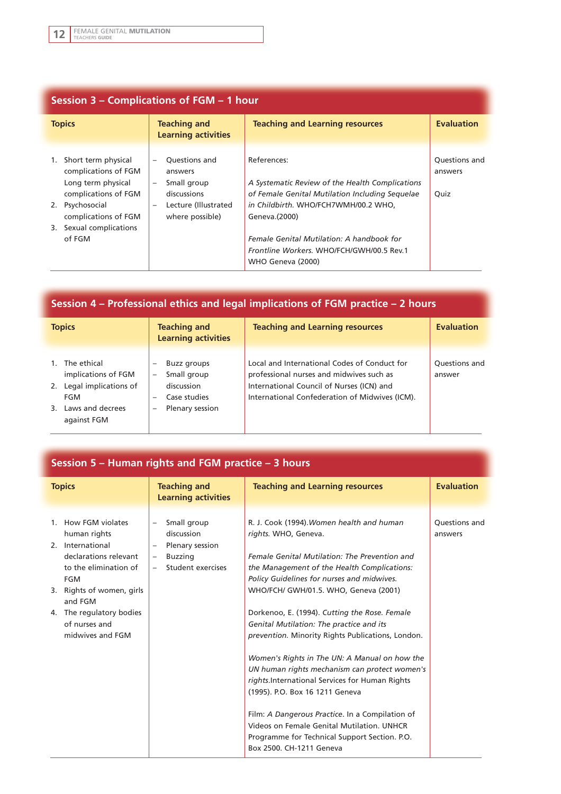# **Session 3 – Complications of FGM – 1 hour**

| <b>Topics</b>                                                                                                                                                                   | <b>Teaching and</b><br><b>Learning activities</b>                                                                                                         | <b>Teaching and Learning resources</b>                                                                                                                                                                                                                                                     | <b>Evaluation</b>                |
|---------------------------------------------------------------------------------------------------------------------------------------------------------------------------------|-----------------------------------------------------------------------------------------------------------------------------------------------------------|--------------------------------------------------------------------------------------------------------------------------------------------------------------------------------------------------------------------------------------------------------------------------------------------|----------------------------------|
| Short term physical<br>complications of FGM<br>Long term physical<br>complications of FGM<br>Psychosocial<br>2.<br>complications of FGM<br>Sexual complications<br>3.<br>of FGM | Ouestions and<br>$\overline{\phantom{0}}$<br>answers<br>Small group<br>$\overline{\phantom{a}}$<br>discussions<br>Lecture (Illustrated<br>where possible) | References:<br>A Systematic Review of the Health Complications<br>of Female Genital Mutilation Including Sequelae<br>in Childbirth. WHO/FCH7WMH/00.2 WHO,<br>Geneva. (2000)<br>Female Genital Mutilation: A handbook for<br>Frontline Workers, WHO/FCH/GWH/00.5 Rev.1<br>WHO Geneva (2000) | Ouestions and<br>answers<br>Ouiz |

### **Session 4 – Professional ethics and legal implications of FGM practice – 2 hours**

| <b>Topics</b>                                                                                                          | <b>Teaching and</b><br><b>Learning activities</b>                                                                   | <b>Teaching and Learning resources</b>                                                                                                                                                  | <b>Evaluation</b>       |
|------------------------------------------------------------------------------------------------------------------------|---------------------------------------------------------------------------------------------------------------------|-----------------------------------------------------------------------------------------------------------------------------------------------------------------------------------------|-------------------------|
| The ethical<br>$1_{-}$<br>implications of FGM<br>Legal implications of<br>2.<br>FGM<br>Laws and decrees<br>against FGM | <b>Buzz</b> groups<br>Small group<br>$\overline{\phantom{m}}$<br>discussion<br>Case studies<br>Plenary session<br>- | Local and International Codes of Conduct for<br>professional nurses and midwives such as<br>International Council of Nurses (ICN) and<br>International Confederation of Midwives (ICM). | Questions and<br>answer |

# **Session 5 – Human rights and FGM practice – 3 hours**

| <b>Topics</b>                                                                                                                                                                                                                    | <b>Teaching and</b><br><b>Learning activities</b>                                                                                           | <b>Teaching and Learning resources</b>                                                                                                                                                                                                                                                                                                                                                                                                                                                                                                                                                                                                                                                                                                                                           | <b>Evaluation</b>        |
|----------------------------------------------------------------------------------------------------------------------------------------------------------------------------------------------------------------------------------|---------------------------------------------------------------------------------------------------------------------------------------------|----------------------------------------------------------------------------------------------------------------------------------------------------------------------------------------------------------------------------------------------------------------------------------------------------------------------------------------------------------------------------------------------------------------------------------------------------------------------------------------------------------------------------------------------------------------------------------------------------------------------------------------------------------------------------------------------------------------------------------------------------------------------------------|--------------------------|
| 1. How FGM violates<br>human rights<br>2. International<br>declarations relevant<br>to the elimination of<br><b>FGM</b><br>3. Rights of women, girls<br>and FGM<br>4. The regulatory bodies<br>of nurses and<br>midwives and FGM | Small group<br>$\overline{\phantom{m}}$<br>discussion<br>Plenary session<br><b>Buzzing</b><br>$\overline{\phantom{m}}$<br>Student exercises | R. J. Cook (1994). Women health and human<br>rights. WHO, Geneva.<br>Female Genital Mutilation: The Prevention and<br>the Management of the Health Complications:<br>Policy Guidelines for nurses and midwives.<br>WHO/FCH/ GWH/01.5. WHO, Geneva (2001)<br>Dorkenoo, E. (1994). Cutting the Rose. Female<br>Genital Mutilation: The practice and its<br>prevention. Minority Rights Publications, London.<br>Women's Rights in The UN: A Manual on how the<br>UN human rights mechanism can protect women's<br>rights. International Services for Human Rights<br>(1995). P.O. Box 16 1211 Geneva<br>Film: A Dangerous Practice. In a Compilation of<br>Videos on Female Genital Mutilation, UNHCR<br>Programme for Technical Support Section. P.O.<br>Box 2500, CH-1211 Geneva | Questions and<br>answers |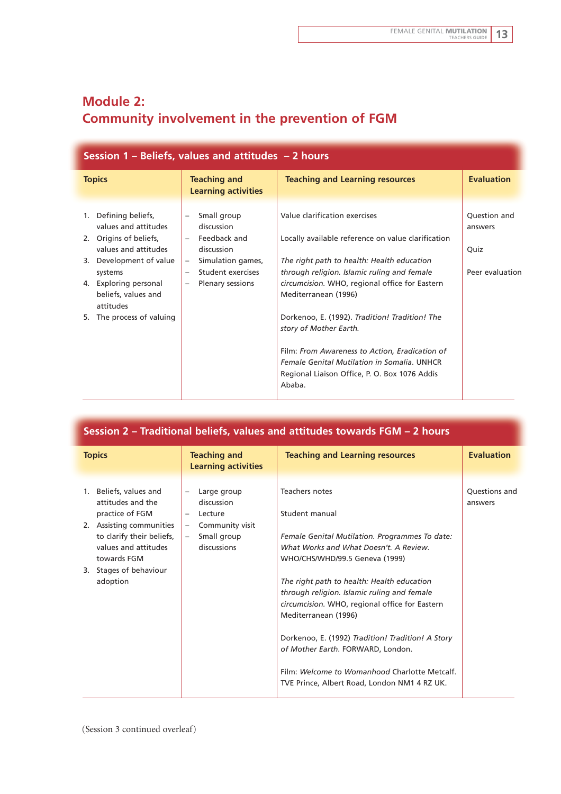# **Module 2: Community involvement in the prevention of FGM**

| Session $1$ – Beliefs, values and attitudes $-2$ hours                                                                                                                                                                         |                                                                                                                                                                                                                                |                                                                                                                                                                                                                                                                                                                                                                                                                                                                                                    |                                                    |  |
|--------------------------------------------------------------------------------------------------------------------------------------------------------------------------------------------------------------------------------|--------------------------------------------------------------------------------------------------------------------------------------------------------------------------------------------------------------------------------|----------------------------------------------------------------------------------------------------------------------------------------------------------------------------------------------------------------------------------------------------------------------------------------------------------------------------------------------------------------------------------------------------------------------------------------------------------------------------------------------------|----------------------------------------------------|--|
| <b>Topics</b>                                                                                                                                                                                                                  | <b>Teaching and</b><br><b>Learning activities</b>                                                                                                                                                                              | <b>Teaching and Learning resources</b>                                                                                                                                                                                                                                                                                                                                                                                                                                                             | <b>Evaluation</b>                                  |  |
| Defining beliefs,<br>1.<br>values and attitudes<br>2. Origins of beliefs,<br>values and attitudes<br>3. Development of value<br>systems<br>4. Exploring personal<br>beliefs, values and<br>attitudes<br>The process of valuing | Small group<br>discussion<br>Feedback and<br>$\overline{\phantom{0}}$<br>discussion<br>Simulation games,<br>$\overline{\phantom{a}}$<br>Student exercises<br>$\overline{\phantom{0}}$<br>Plenary sessions<br>$\qquad \qquad -$ | Value clarification exercises<br>Locally available reference on value clarification<br>The right path to health: Health education<br>through religion. Islamic ruling and female<br>circumcision. WHO, regional office for Eastern<br>Mediterranean (1996)<br>Dorkenoo, E. (1992). Tradition! Tradition! The<br>story of Mother Earth.<br>Film: From Awareness to Action, Eradication of<br>Female Genital Mutilation in Somalia. UNHCR<br>Regional Liaison Office, P. O. Box 1076 Addis<br>Ababa. | Question and<br>answers<br>Quiz<br>Peer evaluation |  |

| Session 2 – Traditional beliefs, values and attitudes towards FGM – 2 hours                                                                                                                          |                                                                                                                                                           |                                                                                                                                                                                                                                                                                                                                                                                                                                                                                                                                  |                          |  |
|------------------------------------------------------------------------------------------------------------------------------------------------------------------------------------------------------|-----------------------------------------------------------------------------------------------------------------------------------------------------------|----------------------------------------------------------------------------------------------------------------------------------------------------------------------------------------------------------------------------------------------------------------------------------------------------------------------------------------------------------------------------------------------------------------------------------------------------------------------------------------------------------------------------------|--------------------------|--|
| <b>Topics</b>                                                                                                                                                                                        | <b>Teaching and</b><br><b>Learning activities</b>                                                                                                         | <b>Teaching and Learning resources</b>                                                                                                                                                                                                                                                                                                                                                                                                                                                                                           | <b>Evaluation</b>        |  |
| 1. Beliefs, values and<br>attitudes and the<br>practice of FGM<br>2. Assisting communities<br>to clarify their beliefs,<br>values and attitudes<br>towards FGM<br>3. Stages of behaviour<br>adoption | Large group<br>$\qquad \qquad -$<br>discussion<br>Lecture<br>$\overline{\phantom{0}}$<br>Community visit<br>$\sim$<br>Small group<br>$ \,$<br>discussions | Teachers notes<br>Student manual<br>Female Genital Mutilation. Programmes To date:<br>What Works and What Doesn't. A Review.<br>WHO/CHS/WHD/99.5 Geneva (1999)<br>The right path to health: Health education<br>through religion. Islamic ruling and female<br>circumcision. WHO, regional office for Eastern<br>Mediterranean (1996)<br>Dorkenoo, E. (1992) Tradition! Tradition! A Story<br>of Mother Earth. FORWARD, London.<br>Film: Welcome to Womanhood Charlotte Metcalf.<br>TVE Prince, Albert Road, London NM1 4 RZ UK. | Questions and<br>answers |  |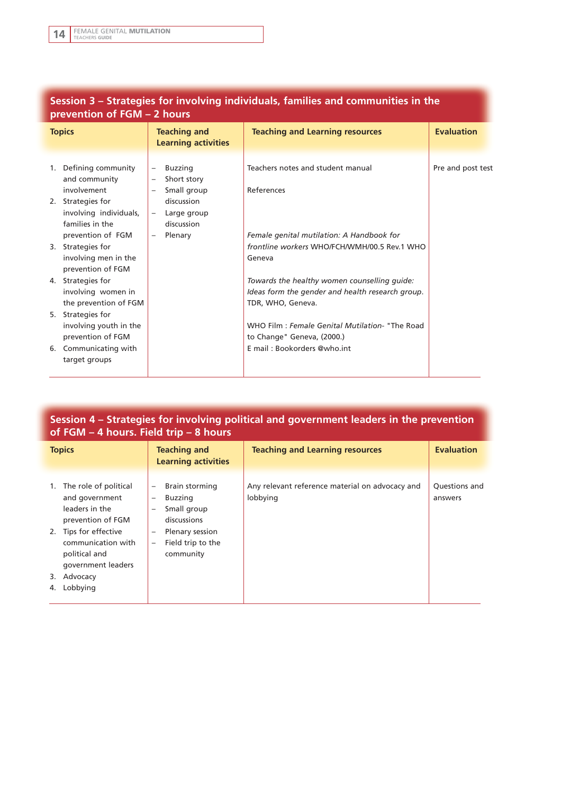| Session 3 – Strategies for involving individuals, families and communities in the |  |
|-----------------------------------------------------------------------------------|--|
| prevention of FGM – 2 hours                                                       |  |

| <b>Topics</b>            | <b>Teaching and</b><br><b>Learning activities</b> | <b>Teaching and Learning resources</b>           | <b>Evaluation</b> |
|--------------------------|---------------------------------------------------|--------------------------------------------------|-------------------|
|                          |                                                   |                                                  |                   |
| Defining community       | <b>Buzzing</b><br>$\overline{\phantom{0}}$        | Teachers notes and student manual                | Pre and post test |
| and community            | Short story<br>$\overline{\phantom{a}}$           |                                                  |                   |
| involvement              | Small group<br>$\overline{\phantom{0}}$           | References                                       |                   |
| Strategies for<br>2.     | discussion                                        |                                                  |                   |
| involving individuals,   | Large group<br>$\overline{\phantom{m}}$           |                                                  |                   |
| families in the          | discussion                                        |                                                  |                   |
| prevention of FGM        | Plenary<br>$\overline{\phantom{a}}$               | Female genital mutilation: A Handbook for        |                   |
| Strategies for<br>3.     |                                                   | frontline workers WHO/FCH/WMH/00.5 Rev.1 WHO     |                   |
| involving men in the     |                                                   | Geneva                                           |                   |
| prevention of FGM        |                                                   |                                                  |                   |
| Strategies for<br>4.     |                                                   | Towards the healthy women counselling guide:     |                   |
| involving women in       |                                                   | Ideas form the gender and health research group. |                   |
| the prevention of FGM    |                                                   | TDR, WHO, Geneva.                                |                   |
| 5. Strategies for        |                                                   |                                                  |                   |
| involving youth in the   |                                                   | WHO Film : Female Genital Mutilation- "The Road  |                   |
| prevention of FGM        |                                                   | to Change" Geneva, (2000.)                       |                   |
| Communicating with<br>6. |                                                   | E mail: Bookorders @who.int                      |                   |
| target groups            |                                                   |                                                  |                   |
|                          |                                                   |                                                  |                   |

# **Session 4 – Strategies for involving political and government leaders in the prevention of FGM – 4 hours. Field trip – 8 hours**

| <b>Topics</b>                                                                                                                                                                                               | <b>Teaching and</b><br><b>Learning activities</b>                                                                                                                                                     | <b>Teaching and Learning resources</b>                      | <b>Evaluation</b>        |
|-------------------------------------------------------------------------------------------------------------------------------------------------------------------------------------------------------------|-------------------------------------------------------------------------------------------------------------------------------------------------------------------------------------------------------|-------------------------------------------------------------|--------------------------|
| The role of political<br>1.<br>and government<br>leaders in the<br>prevention of FGM<br>Tips for effective<br>2.<br>communication with<br>political and<br>government leaders<br>Advocacy<br>3.<br>Lobbying | Brain storming<br>$\overline{\phantom{0}}$<br><b>Buzzing</b><br>-<br>Small group<br>discussions<br>Plenary session<br>$\qquad \qquad -$<br>Field trip to the<br>$\overline{\phantom{m}}$<br>community | Any relevant reference material on advocacy and<br>lobbying | Ouestions and<br>answers |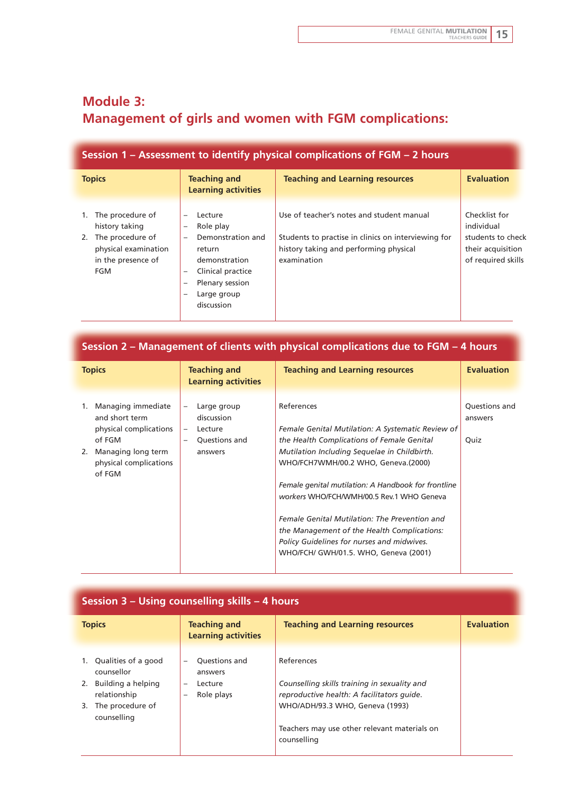# **Module 3: Management of girls and women with FGM complications:**

| Session 1 – Assessment to identify physical complications of FGM – 2 hours                                           |                                                                                                                                                                            |                                                                                                                                                           |                                                                                             |  |
|----------------------------------------------------------------------------------------------------------------------|----------------------------------------------------------------------------------------------------------------------------------------------------------------------------|-----------------------------------------------------------------------------------------------------------------------------------------------------------|---------------------------------------------------------------------------------------------|--|
| <b>Topics</b>                                                                                                        | <b>Teaching and</b><br><b>Learning activities</b>                                                                                                                          | <b>Teaching and Learning resources</b>                                                                                                                    | <b>Evaluation</b>                                                                           |  |
| The procedure of<br>1.<br>history taking<br>2. The procedure of<br>physical examination<br>in the presence of<br>FGM | Lecture<br>Role play<br>—<br>Demonstration and<br>$\overline{\phantom{0}}$<br>return<br>demonstration<br>Clinical practice<br>Plenary session<br>Large group<br>discussion | Use of teacher's notes and student manual<br>Students to practise in clinics on interviewing for<br>history taking and performing physical<br>examination | Checklist for<br>individual<br>students to check<br>their acquisition<br>of required skills |  |

# **Session 2 – Management of clients with physical complications due to FGM – 4 hours**

| <b>Topics</b>                                                                                                                                  | <b>Teaching and</b><br><b>Learning activities</b>                                                          | <b>Teaching and Learning resources</b>                                                                                                                                                                                                                                                                                                                                                                                                                                                          | <b>Evaluation</b>                |
|------------------------------------------------------------------------------------------------------------------------------------------------|------------------------------------------------------------------------------------------------------------|-------------------------------------------------------------------------------------------------------------------------------------------------------------------------------------------------------------------------------------------------------------------------------------------------------------------------------------------------------------------------------------------------------------------------------------------------------------------------------------------------|----------------------------------|
| Managing immediate<br>1.<br>and short term<br>physical complications<br>of FGM<br>Managing long term<br>2.<br>physical complications<br>of FGM | Large group<br>$\qquad \qquad -$<br>discussion<br>Lecture<br>$\qquad \qquad -$<br>Questions and<br>answers | References<br>Female Genital Mutilation: A Systematic Review of<br>the Health Complications of Female Genital<br>Mutilation Including Sequelae in Childbirth.<br>WHO/FCH7WMH/00.2 WHO, Geneva.(2000)<br>Female genital mutilation: A Handbook for frontline<br>workers WHO/FCH/WMH/00.5 Rev.1 WHO Geneva<br>Female Genital Mutilation: The Prevention and<br>the Management of the Health Complications:<br>Policy Guidelines for nurses and midwives.<br>WHO/FCH/ GWH/01.5. WHO, Geneva (2001) | Questions and<br>answers<br>Quiz |

| Session 3 - Using counselling skills - 4 hours                                                                         |                                                                                                                                       |                                                                                                                                                                                                            |                   |  |
|------------------------------------------------------------------------------------------------------------------------|---------------------------------------------------------------------------------------------------------------------------------------|------------------------------------------------------------------------------------------------------------------------------------------------------------------------------------------------------------|-------------------|--|
| <b>Topics</b>                                                                                                          | <b>Teaching and</b><br><b>Learning activities</b>                                                                                     | <b>Teaching and Learning resources</b>                                                                                                                                                                     | <b>Evaluation</b> |  |
| Qualities of a good<br>1.<br>counsellor<br>2. Building a helping<br>relationship<br>3. The procedure of<br>counselling | Ouestions and<br>$\overline{\phantom{0}}$<br>answers<br>Lecture<br>$\overline{\phantom{0}}$<br>Role plays<br>$\overline{\phantom{0}}$ | References<br>Counselling skills training in sexuality and<br>reproductive health: A facilitators quide.<br>WHO/ADH/93.3 WHO, Geneva (1993)<br>Teachers may use other relevant materials on<br>counselling |                   |  |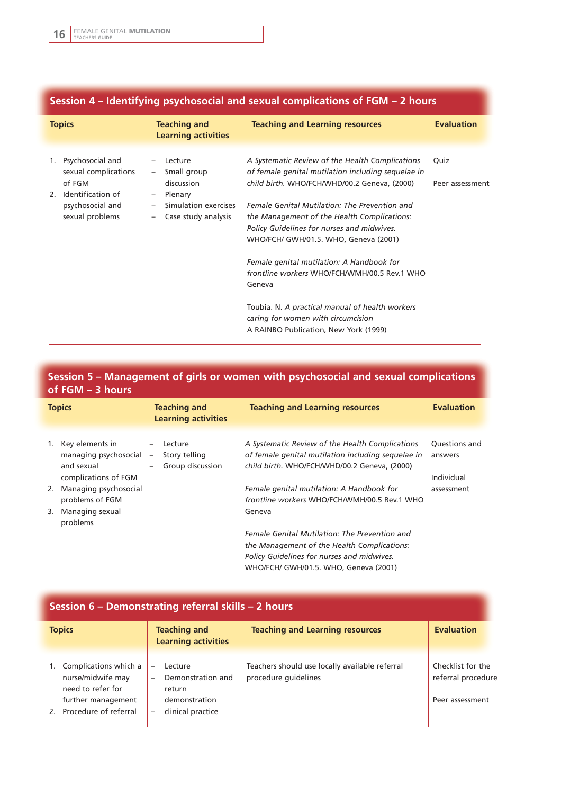| cipital 4 – Iuchtiffing psychosocial and scxual compilcations of TGM – 2 Hours                                             |                                                                                                                     |                                                                                                                                                                                                                                                                                                                                                                                                                                                                                                                                                                                       |                         |  |
|----------------------------------------------------------------------------------------------------------------------------|---------------------------------------------------------------------------------------------------------------------|---------------------------------------------------------------------------------------------------------------------------------------------------------------------------------------------------------------------------------------------------------------------------------------------------------------------------------------------------------------------------------------------------------------------------------------------------------------------------------------------------------------------------------------------------------------------------------------|-------------------------|--|
| <b>Topics</b>                                                                                                              | <b>Teaching and</b><br><b>Learning activities</b>                                                                   | <b>Teaching and Learning resources</b>                                                                                                                                                                                                                                                                                                                                                                                                                                                                                                                                                | <b>Evaluation</b>       |  |
| Psychosocial and<br>1.<br>sexual complications<br>of FGM<br>Identification of<br>2.<br>psychosocial and<br>sexual problems | Lecture<br>Small group<br>$\qquad \qquad -$<br>discussion<br>Plenary<br>Simulation exercises<br>Case study analysis | A Systematic Review of the Health Complications<br>of female genital mutilation including sequelae in<br>child birth. WHO/FCH/WHD/00.2 Geneva, (2000)<br>Female Genital Mutilation: The Prevention and<br>the Management of the Health Complications:<br>Policy Guidelines for nurses and midwives.<br>WHO/FCH/ GWH/01.5. WHO, Geneva (2001)<br>Female genital mutilation: A Handbook for<br>frontline workers WHO/FCH/WMH/00.5 Rev.1 WHO<br>Geneva<br>Toubia. N. A practical manual of health workers<br>caring for women with circumcision<br>A RAINBO Publication, New York (1999) | Quiz<br>Peer assessment |  |

### **Session 4 – Identifying psychosocial and sexual complications of FGM – 2 hours**

# **Session 5 – Management of girls or women with psychosocial and sexual complications of FGM – 3 hours**

|          | <b>Topics</b>                                                                       | <b>Teaching and</b><br><b>Learning activities</b>                        | <b>Teaching and Learning resources</b>                                                                                                                                              | <b>Evaluation</b>        |
|----------|-------------------------------------------------------------------------------------|--------------------------------------------------------------------------|-------------------------------------------------------------------------------------------------------------------------------------------------------------------------------------|--------------------------|
|          | Key elements in<br>managing psychosocial<br>and sexual                              | Lecture<br>Story telling<br>$\overline{\phantom{0}}$<br>Group discussion | A Systematic Review of the Health Complications<br>of female genital mutilation including sequelae in<br>child birth. WHO/FCH/WHD/00.2 Geneva, (2000)                               | Ouestions and<br>answers |
| 2.<br>3. | complications of FGM<br>Managing psychosocial<br>problems of FGM<br>Managing sexual |                                                                          | Female genital mutilation: A Handbook for<br>frontline workers WHO/FCH/WMH/00.5 Rev.1 WHO<br>Geneva                                                                                 | Individual<br>assessment |
|          | problems                                                                            |                                                                          | Female Genital Mutilation: The Prevention and<br>the Management of the Health Complications:<br>Policy Guidelines for nurses and midwives.<br>WHO/FCH/ GWH/01.5. WHO, Geneva (2001) |                          |

| Session 6 - Demonstrating referral skills - 2 hours                                                            |                                                                              |                                                                        |                                                            |
|----------------------------------------------------------------------------------------------------------------|------------------------------------------------------------------------------|------------------------------------------------------------------------|------------------------------------------------------------|
| <b>Topics</b>                                                                                                  | <b>Teaching and</b><br><b>Learning activities</b>                            | <b>Teaching and Learning resources</b>                                 | <b>Evaluation</b>                                          |
| Complications which a<br>nurse/midwife may<br>need to refer for<br>further management<br>Procedure of referral | Lecture<br>Demonstration and<br>return<br>demonstration<br>clinical practice | Teachers should use locally available referral<br>procedure quidelines | Checklist for the<br>referral procedure<br>Peer assessment |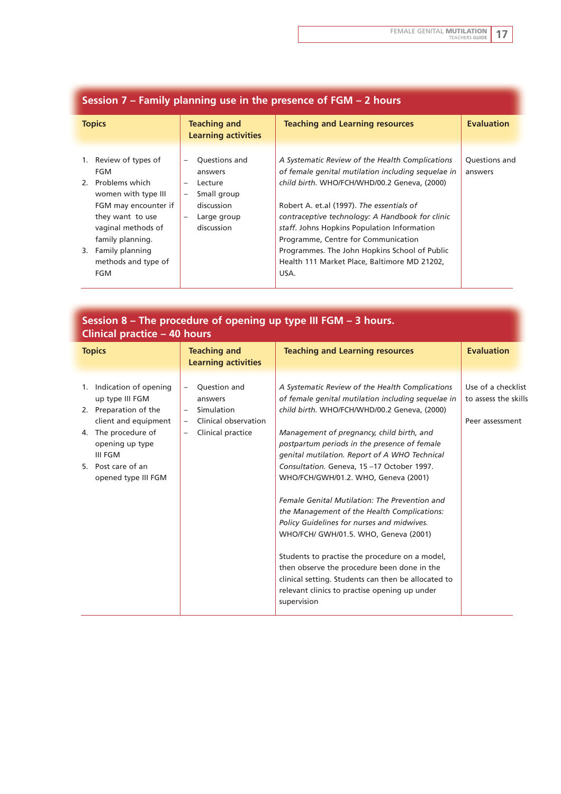| <b>Topics</b>                                                                                                                                                                                                         | <b>Teaching and</b><br><b>Learning activities</b>                                                                                                                                                             | <b>Teaching and Learning resources</b>                                                                                                                                                                                                                                                                                                                                                                                                               | <b>Evaluation</b>        |
|-----------------------------------------------------------------------------------------------------------------------------------------------------------------------------------------------------------------------|---------------------------------------------------------------------------------------------------------------------------------------------------------------------------------------------------------------|------------------------------------------------------------------------------------------------------------------------------------------------------------------------------------------------------------------------------------------------------------------------------------------------------------------------------------------------------------------------------------------------------------------------------------------------------|--------------------------|
| 1. Review of types of<br>FGM<br>2. Problems which<br>women with type III<br>FGM may encounter if<br>they want to use<br>vaginal methods of<br>family planning.<br>Family planning<br>3.<br>methods and type of<br>FGM | Ouestions and<br>$\overline{\phantom{0}}$<br>answers<br>Lecture<br>$\overline{\phantom{0}}$<br>Small group<br>$\overline{\phantom{m}}$<br>discussion<br>Large group<br>$\overline{\phantom{m}}$<br>discussion | A Systematic Review of the Health Complications<br>of female genital mutilation including sequelae in<br>child birth. WHO/FCH/WHD/00.2 Geneva, (2000)<br>Robert A. et.al (1997). The essentials of<br>contraceptive technology: A Handbook for clinic<br>staff. Johns Hopkins Population Information<br>Programme, Centre for Communication<br>Programmes. The John Hopkins School of Public<br>Health 111 Market Place, Baltimore MD 21202,<br>USA. | Questions and<br>answers |

# **Session 7 – Family planning use in the presence of FGM – 2 hours**

| Session $8$ – The procedure of opening up type III FGM – 3 hours.<br><b>Clinical practice - 40 hours</b>                                                                                          |                                                                                                                                                                 |                                                                                                                                                                                                                                                                                                                                                                                                                                                                                                                                                                                                                                                                                                                                                                                                         |                                                               |
|---------------------------------------------------------------------------------------------------------------------------------------------------------------------------------------------------|-----------------------------------------------------------------------------------------------------------------------------------------------------------------|---------------------------------------------------------------------------------------------------------------------------------------------------------------------------------------------------------------------------------------------------------------------------------------------------------------------------------------------------------------------------------------------------------------------------------------------------------------------------------------------------------------------------------------------------------------------------------------------------------------------------------------------------------------------------------------------------------------------------------------------------------------------------------------------------------|---------------------------------------------------------------|
| <b>Topics</b>                                                                                                                                                                                     | <b>Teaching and</b><br><b>Learning activities</b>                                                                                                               | <b>Teaching and Learning resources</b>                                                                                                                                                                                                                                                                                                                                                                                                                                                                                                                                                                                                                                                                                                                                                                  | <b>Evaluation</b>                                             |
| Indication of opening<br>1.<br>up type III FGM<br>2. Preparation of the<br>client and equipment<br>4. The procedure of<br>opening up type<br>III FGM<br>5. Post care of an<br>opened type III FGM | Ouestion and<br>$\overline{\phantom{0}}$<br>answers<br>Simulation<br>$\qquad \qquad -$<br>Clinical observation<br>$\overline{\phantom{m}}$<br>Clinical practice | A Systematic Review of the Health Complications<br>of female genital mutilation including sequelae in<br>child birth. WHO/FCH/WHD/00.2 Geneva, (2000)<br>Management of pregnancy, child birth, and<br>postpartum periods in the presence of female<br>genital mutilation. Report of A WHO Technical<br>Consultation. Geneva, 15-17 October 1997.<br>WHO/FCH/GWH/01.2. WHO, Geneva (2001)<br>Female Genital Mutilation: The Prevention and<br>the Management of the Health Complications:<br>Policy Guidelines for nurses and midwives.<br>WHO/FCH/ GWH/01.5. WHO, Geneva (2001)<br>Students to practise the procedure on a model,<br>then observe the procedure been done in the<br>clinical setting. Students can then be allocated to<br>relevant clinics to practise opening up under<br>supervision | Use of a checklist<br>to assess the skills<br>Peer assessment |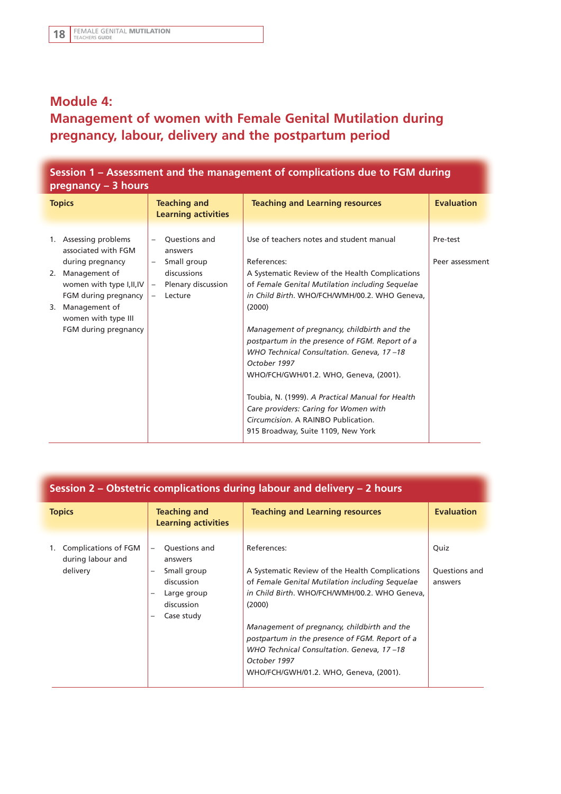# **Module 4: Management of women with Female Genital Mutilation during pregnancy, labour, delivery and the postpartum period**

# **Session 1 – Assessment and the management of complications due to FGM during pregnancy – 3 hours**

| <b>Topics</b>                                                                                                                                                                                                   | <b>Teaching and</b><br><b>Learning activities</b>                                                                                                                           | <b>Teaching and Learning resources</b>                                                                                                                                                                                                                                                                                                                                                                                                                                                                                                                                                                     | <b>Evaluation</b>           |
|-----------------------------------------------------------------------------------------------------------------------------------------------------------------------------------------------------------------|-----------------------------------------------------------------------------------------------------------------------------------------------------------------------------|------------------------------------------------------------------------------------------------------------------------------------------------------------------------------------------------------------------------------------------------------------------------------------------------------------------------------------------------------------------------------------------------------------------------------------------------------------------------------------------------------------------------------------------------------------------------------------------------------------|-----------------------------|
| 1. Assessing problems<br>associated with FGM<br>during pregnancy<br>2. Management of<br>women with type I, II, IV<br>FGM during pregnancy<br>Management of<br>3.<br>women with type III<br>FGM during pregnancy | Questions and<br>answers<br>Small group<br>$\overline{\phantom{a}}$<br>discussions<br>Plenary discussion<br>$\overline{\phantom{a}}$<br>Lecture<br>$\overline{\phantom{0}}$ | Use of teachers notes and student manual<br>References:<br>A Systematic Review of the Health Complications<br>of Female Genital Mutilation including Sequelae<br>in Child Birth. WHO/FCH/WMH/00.2. WHO Geneva,<br>(2000)<br>Management of pregnancy, childbirth and the<br>postpartum in the presence of FGM. Report of a<br>WHO Technical Consultation. Geneva, 17-18<br>October 1997<br>WHO/FCH/GWH/01.2. WHO, Geneva, (2001).<br>Toubia, N. (1999). A Practical Manual for Health<br>Care providers: Caring for Women with<br>Circumcision. A RAINBO Publication.<br>915 Broadway, Suite 1109, New York | Pre-test<br>Peer assessment |

| Session $2$ – Obstetric complications during labour and delivery – 2 hours |                                                                                                                              |                                                                                                                                                                                                                                                                                                                                                                                      |                                  |
|----------------------------------------------------------------------------|------------------------------------------------------------------------------------------------------------------------------|--------------------------------------------------------------------------------------------------------------------------------------------------------------------------------------------------------------------------------------------------------------------------------------------------------------------------------------------------------------------------------------|----------------------------------|
| <b>Topics</b>                                                              | <b>Teaching and</b><br><b>Learning activities</b>                                                                            | <b>Teaching and Learning resources</b>                                                                                                                                                                                                                                                                                                                                               | <b>Evaluation</b>                |
| Complications of FGM<br>1.<br>during labour and<br>delivery                | Questions and<br>$\overline{\phantom{0}}$<br>answers<br>Small group<br>discussion<br>Large group<br>discussion<br>Case study | References:<br>A Systematic Review of the Health Complications<br>of Female Genital Mutilation including Sequelae<br>in Child Birth. WHO/FCH/WMH/00.2. WHO Geneva,<br>(2000)<br>Management of pregnancy, childbirth and the<br>postpartum in the presence of FGM. Report of a<br>WHO Technical Consultation. Geneva, 17-18<br>October 1997<br>WHO/FCH/GWH/01.2. WHO, Geneva, (2001). | Quiz<br>Questions and<br>answers |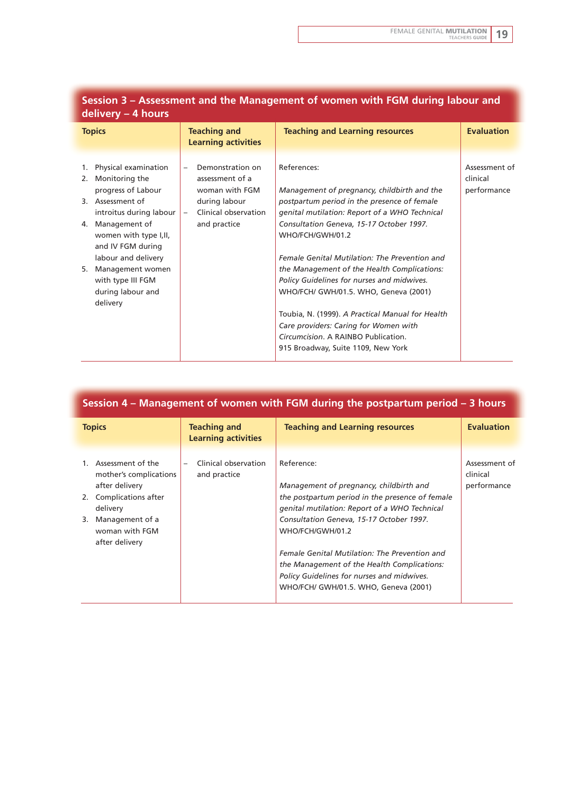| $ucitvert y - 4$ Hours                                                                                                                                                                                                                                                                            |                                                                                                                                                                               |                                                                                                                                                                                                                                                                                                                                                                                                                                                                                                                                                                                             |                                          |  |
|---------------------------------------------------------------------------------------------------------------------------------------------------------------------------------------------------------------------------------------------------------------------------------------------------|-------------------------------------------------------------------------------------------------------------------------------------------------------------------------------|---------------------------------------------------------------------------------------------------------------------------------------------------------------------------------------------------------------------------------------------------------------------------------------------------------------------------------------------------------------------------------------------------------------------------------------------------------------------------------------------------------------------------------------------------------------------------------------------|------------------------------------------|--|
| <b>Topics</b>                                                                                                                                                                                                                                                                                     | <b>Teaching and</b><br><b>Learning activities</b>                                                                                                                             | <b>Teaching and Learning resources</b>                                                                                                                                                                                                                                                                                                                                                                                                                                                                                                                                                      | <b>Evaluation</b>                        |  |
| Physical examination<br>1.<br>Monitoring the<br>2.<br>progress of Labour<br>3. Assessment of<br>introitus during labour<br>4. Management of<br>women with type I, II,<br>and IV FGM during<br>labour and delivery<br>Management women<br>5.<br>with type III FGM<br>during labour and<br>delivery | Demonstration on<br>$\overline{\phantom{m}}$<br>assessment of a<br>woman with FGM<br>during labour<br>Clinical observation<br>$\hspace{0.1mm}-\hspace{0.1mm}$<br>and practice | References:<br>Management of pregnancy, childbirth and the<br>postpartum period in the presence of female<br>genital mutilation: Report of a WHO Technical<br>Consultation Geneva, 15-17 October 1997.<br>WHO/FCH/GWH/01.2<br>Female Genital Mutilation: The Prevention and<br>the Management of the Health Complications:<br>Policy Guidelines for nurses and midwives.<br>WHO/FCH/ GWH/01.5. WHO, Geneva (2001)<br>Toubia, N. (1999). A Practical Manual for Health<br>Care providers: Caring for Women with<br>Circumcision. A RAINBO Publication.<br>915 Broadway, Suite 1109, New York | Assessment of<br>clinical<br>performance |  |

# **Session 3 – Assessment and the Management of women with FGM during labour and delivery – 4 hours**

# **Session 4 – Management of women with FGM during the postpartum period – 3 hours**

| <b>Topics</b>                                                                                                                                                    | <b>Teaching and</b><br><b>Learning activities</b> | <b>Teaching and Learning resources</b>                                                                                                                                                                                                                                                                                                                                                                           | <b>Evaluation</b>                        |
|------------------------------------------------------------------------------------------------------------------------------------------------------------------|---------------------------------------------------|------------------------------------------------------------------------------------------------------------------------------------------------------------------------------------------------------------------------------------------------------------------------------------------------------------------------------------------------------------------------------------------------------------------|------------------------------------------|
| 1. Assessment of the<br>mother's complications<br>after delivery<br>2. Complications after<br>delivery<br>3. Management of a<br>woman with FGM<br>after delivery | Clinical observation<br>and practice              | Reference:<br>Management of pregnancy, childbirth and<br>the postpartum period in the presence of female<br>genital mutilation: Report of a WHO Technical<br>Consultation Geneva, 15-17 October 1997.<br>WHO/FCH/GWH/01.2<br>Female Genital Mutilation: The Prevention and<br>the Management of the Health Complications:<br>Policy Guidelines for nurses and midwives.<br>WHO/FCH/ GWH/01.5. WHO, Geneva (2001) | Assessment of<br>clinical<br>performance |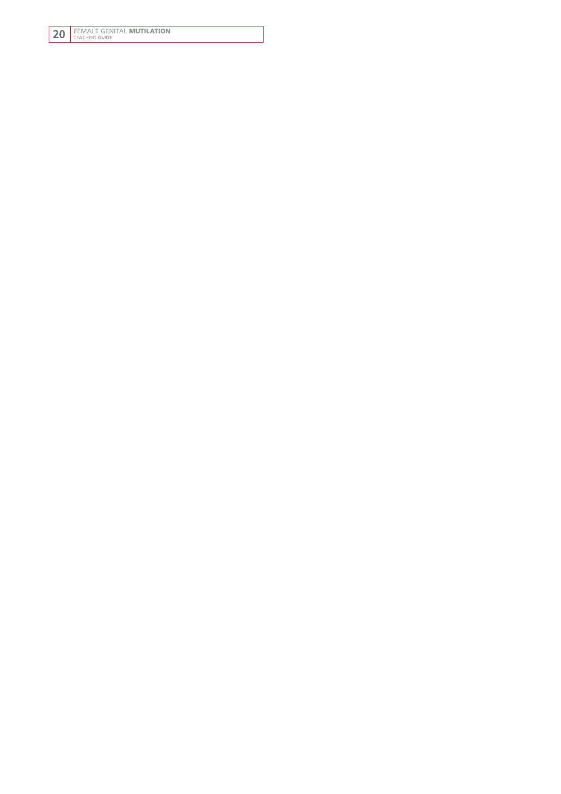FEMALE GENITAL **MUTILATION**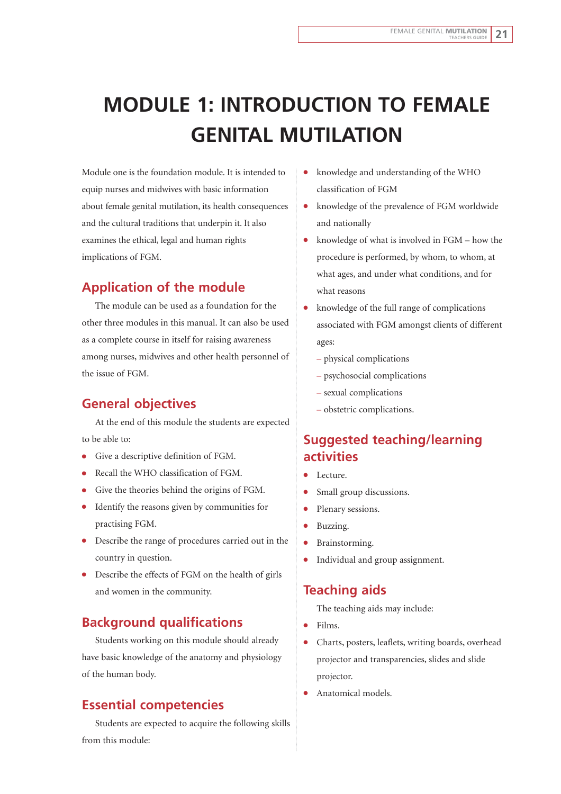# **MODULE 1: INTRODUCTION TO FEMALE GENITAL MUTILATION**

Module one is the foundation module. It is intended to equip nurses and midwives with basic information about female genital mutilation, its health consequences and the cultural traditions that underpin it. It also examines the ethical, legal and human rights implications of FGM.

# **Application of the module**

The module can be used as a foundation for the other three modules in this manual. It can also be used as a complete course in itself for raising awareness among nurses, midwives and other health personnel of the issue of FGM.

# **General objectives**

At the end of this module the students are expected to be able to:

- Give a descriptive definition of FGM.
- Recall the WHO classification of FGM.
- Give the theories behind the origins of FGM.
- Identify the reasons given by communities for practising FGM.
- Describe the range of procedures carried out in the country in question.
- Describe the effects of FGM on the health of girls and women in the community.

# **Background qualifications**

Students working on this module should already have basic knowledge of the anatomy and physiology of the human body.

# **Essential competencies**

Students are expected to acquire the following skills from this module:

- knowledge and understanding of the WHO classification of FGM
- knowledge of the prevalence of FGM worldwide and nationally
- knowledge of what is involved in  $FGM$  how the procedure is performed, by whom, to whom, at what ages, and under what conditions, and for what reasons
- knowledge of the full range of complications associated with FGM amongst clients of different ages:
	- physical complications
	- psychosocial complications
	- sexual complications
	- obstetric complications.

# **Suggested teaching/learning activities**

- Lecture.
- Small group discussions.
- Plenary sessions.
- Buzzing.
- Brainstorming.
- Individual and group assignment.

# **Teaching aids**

The teaching aids may include:

- Films.
- Charts, posters, leaflets, writing boards, overhead projector and transparencies, slides and slide projector.
- Anatomical models.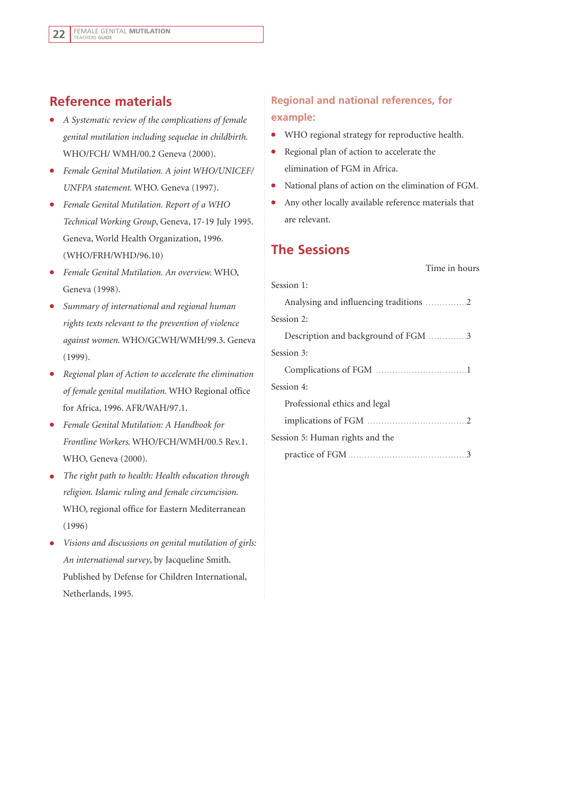# **Reference materials**

- *A Systematic review of the complications of female genital mutilation including sequelae in childbirth*. WHO/FCH/ WMH/00.2 Geneva (2000).
- *Female Genital Mutilation. A joint WHO/UNICEF/ UNFPA statement.* WHO. Geneva (1997).
- *Female Genital Mutilation. Report of a WHO Technical Working Group*, Geneva, 17-19 July 1995. Geneva, World Health Organization, 1996. (WHO/FRH/WHD/96.10)
- *Female Genital Mutilation. An overview.* WHO, Geneva (1998).
- *Summary of international and regional human rights texts relevant to the prevention of violence against women*. WHO/GCWH/WMH/99.3. Geneva (1999).
- *Regional plan of Action to accelerate the elimination of female genital mutilation.* WHO Regional office for Africa, 1996. AFR/WAH/97.1.
- *Female Genital Mutilation: A Handbook for Frontline Workers*. WHO/FCH/WMH/00.5 Rev.1. WHO, Geneva (2000).
- *The right path to health: Health education through religion. Islamic ruling and female circumcision.* WHO, regional office for Eastern Mediterranean (1996)
- *Visions and discussions on genital mutilation of girls: An international survey*, by Jacqueline Smith. Published by Defense for Children International, Netherlands, 1995.

# **Regional and national references, for example:**

- WHO regional strategy for reproductive health.
- Regional plan of action to accelerate the elimination of FGM in Africa.
- National plans of action on the elimination of FGM.
- Any other locally available reference materials that are relevant.

# **The Sessions**

| Time in hours                       |
|-------------------------------------|
| Session 1:                          |
|                                     |
| Session 2:                          |
| Description and background of FGM 3 |
| Session 3:                          |
|                                     |
| Session 4:                          |
| Professional ethics and legal       |
|                                     |
| Session 5: Human rights and the     |
|                                     |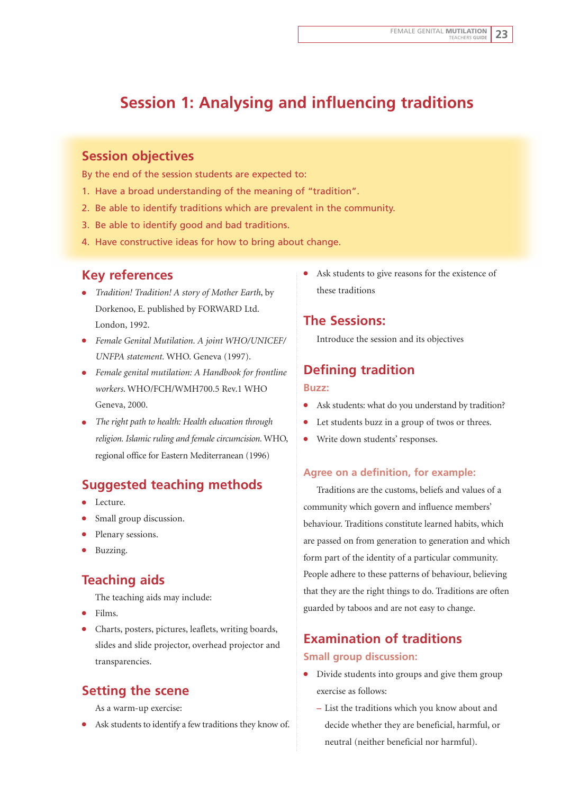# **Session 1: Analysing and influencing traditions**

# **Session objectives**

By the end of the session students are expected to:

- 1. Have a broad understanding of the meaning of "tradition".
- 2. Be able to identify traditions which are prevalent in the community.
- 3. Be able to identify good and bad traditions.
- 4. Have constructive ideas for how to bring about change.

# **Key references**

- *Tradition! Tradition! A story of Mother Earth*, by Dorkenoo, E. published by FORWARD Ltd. London, 1992.
- *Female Genital Mutilation. A joint WHO/UNICEF/ UNFPA statement.* WHO. Geneva (1997).
- *Female genital mutilation: A Handbook for frontline workers*. WHO/FCH/WMH700.5 Rev.1 WHO Geneva, 2000.
- *The right path to health: Health education through religion. Islamic ruling and female circumcision.* WHO, regional office for Eastern Mediterranean (1996)

# **Suggested teaching methods**

- Lecture.
- Small group discussion.
- Plenary sessions.
- Buzzing.

# **Teaching aids**

The teaching aids may include:

- Films.
- Charts, posters, pictures, leaflets, writing boards, slides and slide projector, overhead projector and transparencies.

# **Setting the scene**

As a warm-up exercise:

Ask students to identify a few traditions they know of.

● Ask students to give reasons for the existence of these traditions

# **The Sessions:**

Introduce the session and its objectives

# **Defining tradition**

# **Buzz:**

- Ask students: what do you understand by tradition?
- Let students buzz in a group of twos or threes.
- Write down students' responses.

#### **Agree on a definition, for example:**

Traditions are the customs, beliefs and values of a community which govern and influence members' behaviour. Traditions constitute learned habits, which are passed on from generation to generation and which form part of the identity of a particular community. People adhere to these patterns of behaviour, believing that they are the right things to do. Traditions are often guarded by taboos and are not easy to change.

# **Examination of traditions Small group discussion:**

- Divide students into groups and give them group exercise as follows:
	- **–** List the traditions which you know about and decide whether they are beneficial, harmful, or neutral (neither beneficial nor harmful).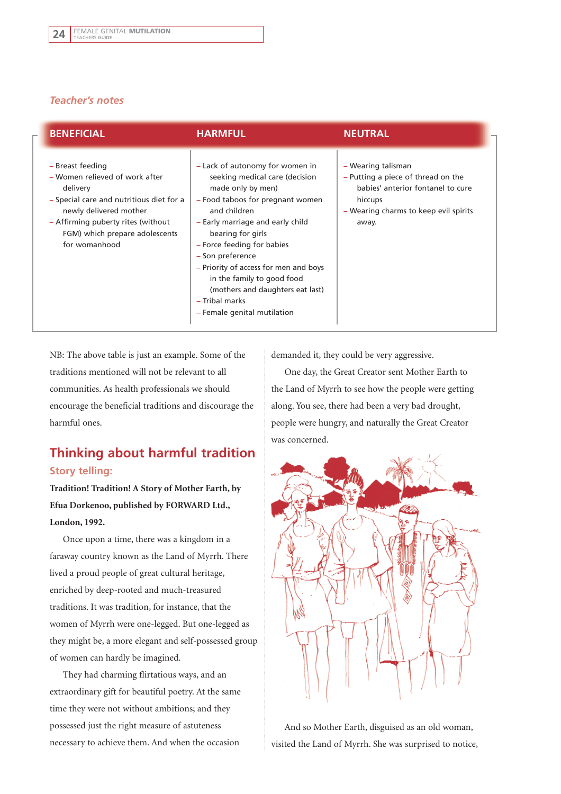#### *Teacher's notes*

| <b>BENEFICIAL</b>                                                                                                                                                                                                             | <b>HARMFUL</b>                                                                                                                                                                                                                                                                                                                                                                                                    | <b>NEUTRAL</b>                                                                                                                                             |
|-------------------------------------------------------------------------------------------------------------------------------------------------------------------------------------------------------------------------------|-------------------------------------------------------------------------------------------------------------------------------------------------------------------------------------------------------------------------------------------------------------------------------------------------------------------------------------------------------------------------------------------------------------------|------------------------------------------------------------------------------------------------------------------------------------------------------------|
| - Breast feeding<br>- Women relieved of work after<br>delivery<br>- Special care and nutritious diet for a<br>newly delivered mother<br>- Affirming puberty rites (without<br>FGM) which prepare adolescents<br>for womanhood | - Lack of autonomy for women in<br>seeking medical care (decision<br>made only by men)<br>- Food taboos for pregnant women<br>and children<br>- Early marriage and early child<br>bearing for girls<br>- Force feeding for babies<br>- Son preference<br>- Priority of access for men and boys<br>in the family to good food<br>(mothers and daughters eat last)<br>- Tribal marks<br>- Female genital mutilation | - Wearing talisman<br>- Putting a piece of thread on the<br>babies' anterior fontanel to cure<br>hiccups<br>- Wearing charms to keep evil spirits<br>away. |

NB: The above table is just an example. Some of the traditions mentioned will not be relevant to all communities. As health professionals we should encourage the beneficial traditions and discourage the harmful ones.

# **Thinking about harmful tradition Story telling:**

**Tradition! Tradition! A Story of Mother Earth, by Efua Dorkenoo, published by FORWARD Ltd., London, 1992.**

Once upon a time, there was a kingdom in a faraway country known as the Land of Myrrh. There lived a proud people of great cultural heritage, enriched by deep-rooted and much-treasured traditions. It was tradition, for instance, that the women of Myrrh were one-legged. But one-legged as they might be, a more elegant and self-possessed group of women can hardly be imagined.

They had charming flirtatious ways, and an extraordinary gift for beautiful poetry. At the same time they were not without ambitions; and they possessed just the right measure of astuteness necessary to achieve them. And when the occasion

demanded it, they could be very aggressive.

One day, the Great Creator sent Mother Earth to the Land of Myrrh to see how the people were getting along. You see, there had been a very bad drought, people were hungry, and naturally the Great Creator was concerned.



And so Mother Earth, disguised as an old woman, visited the Land of Myrrh. She was surprised to notice,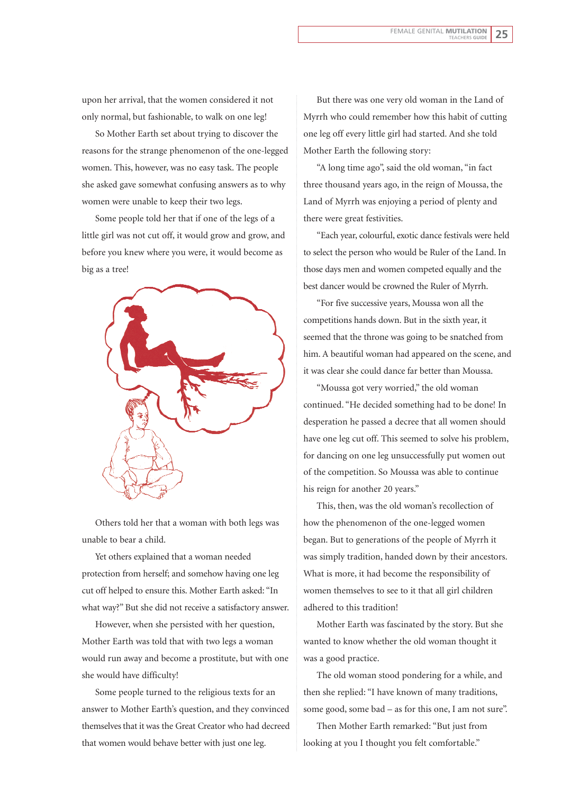upon her arrival, that the women considered it not only normal, but fashionable, to walk on one leg!

So Mother Earth set about trying to discover the reasons for the strange phenomenon of the one-legged women. This, however, was no easy task. The people she asked gave somewhat confusing answers as to why women were unable to keep their two legs.

Some people told her that if one of the legs of a little girl was not cut off, it would grow and grow, and before you knew where you were, it would become as big as a tree!



Others told her that a woman with both legs was unable to bear a child.

Yet others explained that a woman needed protection from herself; and somehow having one leg cut off helped to ensure this. Mother Earth asked: "In what way?" But she did not receive a satisfactory answer.

However, when she persisted with her question, Mother Earth was told that with two legs a woman would run away and become a prostitute, but with one she would have difficulty!

Some people turned to the religious texts for an answer to Mother Earth's question, and they convinced themselves that it was the Great Creator who had decreed that women would behave better with just one leg.

But there was one very old woman in the Land of Myrrh who could remember how this habit of cutting one leg off every little girl had started. And she told Mother Earth the following story:

"A long time ago", said the old woman, "in fact three thousand years ago, in the reign of Moussa, the Land of Myrrh was enjoying a period of plenty and there were great festivities.

"Each year, colourful, exotic dance festivals were held to select the person who would be Ruler of the Land. In those days men and women competed equally and the best dancer would be crowned the Ruler of Myrrh.

"For five successive years, Moussa won all the competitions hands down. But in the sixth year, it seemed that the throne was going to be snatched from him. A beautiful woman had appeared on the scene, and it was clear she could dance far better than Moussa.

"Moussa got very worried," the old woman continued. "He decided something had to be done! In desperation he passed a decree that all women should have one leg cut off. This seemed to solve his problem, for dancing on one leg unsuccessfully put women out of the competition. So Moussa was able to continue his reign for another 20 years."

This, then, was the old woman's recollection of how the phenomenon of the one-legged women began. But to generations of the people of Myrrh it was simply tradition, handed down by their ancestors. What is more, it had become the responsibility of women themselves to see to it that all girl children adhered to this tradition!

Mother Earth was fascinated by the story. But she wanted to know whether the old woman thought it was a good practice.

The old woman stood pondering for a while, and then she replied: "I have known of many traditions, some good, some bad – as for this one, I am not sure".

Then Mother Earth remarked: "But just from looking at you I thought you felt comfortable."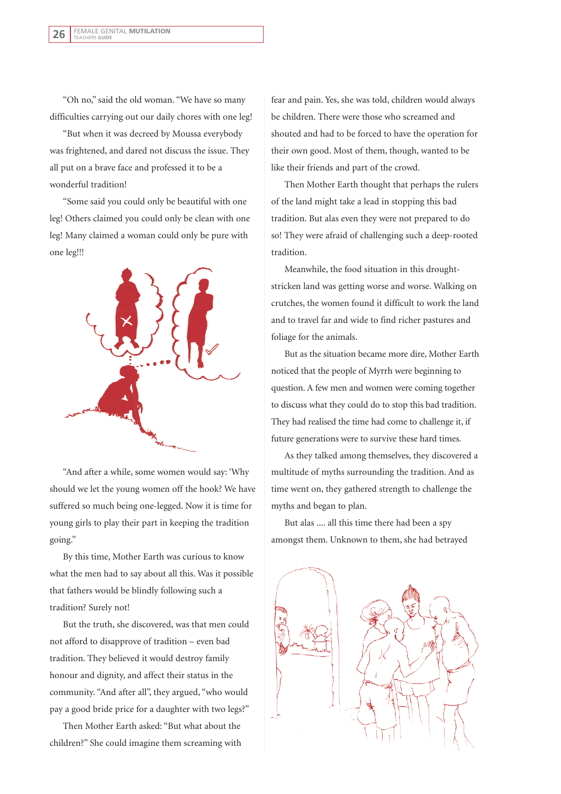"Oh no," said the old woman. "We have so many difficulties carrying out our daily chores with one leg!

"But when it was decreed by Moussa everybody was frightened, and dared not discuss the issue. They all put on a brave face and professed it to be a wonderful tradition!

"Some said you could only be beautiful with one leg! Others claimed you could only be clean with one leg! Many claimed a woman could only be pure with one leg!!!



"And after a while, some women would say: 'Why should we let the young women off the hook? We have suffered so much being one-legged. Now it is time for young girls to play their part in keeping the tradition going."

By this time, Mother Earth was curious to know what the men had to say about all this. Was it possible that fathers would be blindly following such a tradition? Surely not!

But the truth, she discovered, was that men could not afford to disapprove of tradition – even bad tradition. They believed it would destroy family honour and dignity, and affect their status in the community. "And after all", they argued, "who would pay a good bride price for a daughter with two legs?"

Then Mother Earth asked: "But what about the children?" She could imagine them screaming with fear and pain. Yes, she was told, children would always be children. There were those who screamed and shouted and had to be forced to have the operation for their own good. Most of them, though, wanted to be like their friends and part of the crowd.

Then Mother Earth thought that perhaps the rulers of the land might take a lead in stopping this bad tradition. But alas even they were not prepared to do so! They were afraid of challenging such a deep-rooted tradition.

Meanwhile, the food situation in this droughtstricken land was getting worse and worse. Walking on crutches, the women found it difficult to work the land and to travel far and wide to find richer pastures and foliage for the animals.

But as the situation became more dire, Mother Earth noticed that the people of Myrrh were beginning to question. A few men and women were coming together to discuss what they could do to stop this bad tradition. They had realised the time had come to challenge it, if future generations were to survive these hard times.

As they talked among themselves, they discovered a multitude of myths surrounding the tradition. And as time went on, they gathered strength to challenge the myths and began to plan.

But alas .... all this time there had been a spy amongst them. Unknown to them, she had betrayed

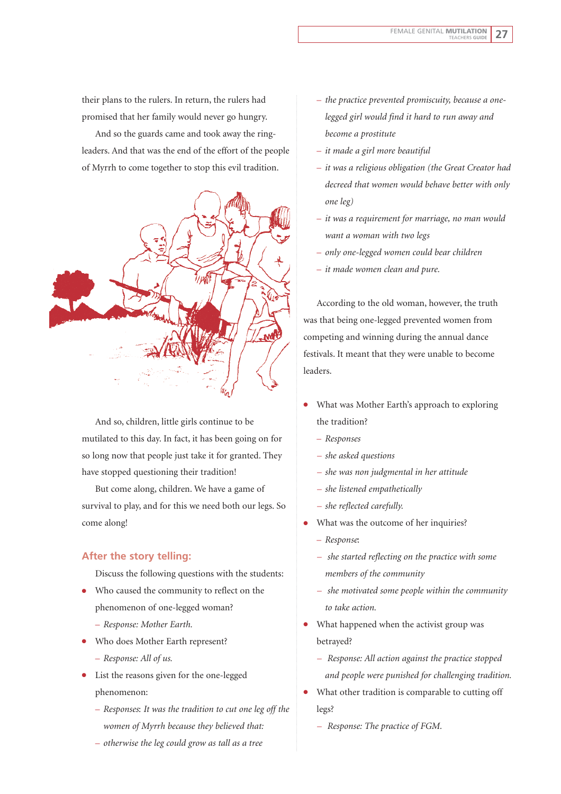their plans to the rulers. In return, the rulers had promised that her family would never go hungry.

And so the guards came and took away the ringleaders. And that was the end of the effort of the people of Myrrh to come together to stop this evil tradition.



And so, children, little girls continue to be mutilated to this day. In fact, it has been going on for so long now that people just take it for granted. They have stopped questioning their tradition!

But come along, children. We have a game of survival to play, and for this we need both our legs. So come along!

#### **After the story telling:**

Discuss the following questions with the students:

- Who caused the community to reflect on the phenomenon of one-legged woman?
	- *Response: Mother Earth.*
- Who does Mother Earth represent?
	- *Response: All of us.*
- List the reasons given for the one-legged phenomenon:
	- *Responses*: *It was the tradition to cut one leg off the women of Myrrh because they believed that:*
	- *otherwise the leg could grow as tall as a tree*
- *the practice prevented promiscuity, because a onelegged girl would find it hard to run away and become a prostitute*
- *it made a girl more beautiful*
- *it was a religious obligation (the Great Creator had decreed that women would behave better with only one leg)*
- *it was a requirement for marriage, no man would want a woman with two legs*
- *only one-legged women could bear children*
- *it made women clean and pure.*

According to the old woman, however, the truth was that being one-legged prevented women from competing and winning during the annual dance festivals. It meant that they were unable to become leaders.

- What was Mother Earth's approach to exploring the tradition?
	- *Responses*
	- *– she asked questions*
	- *– she was non judgmental in her attitude*
	- *– she listened empathetically*
	- *– she reflected carefully.*
- What was the outcome of her inquiries?
	- *Response*:
	- *– she started reflecting on the practice with some members of the community*
	- *– she motivated some people within the community to take action.*
- What happened when the activist group was betrayed?
	- *– Response: All action against the practice stopped and people were punished for challenging tradition.*
- What other tradition is comparable to cutting off legs?
	- *– Response: The practice of FGM.*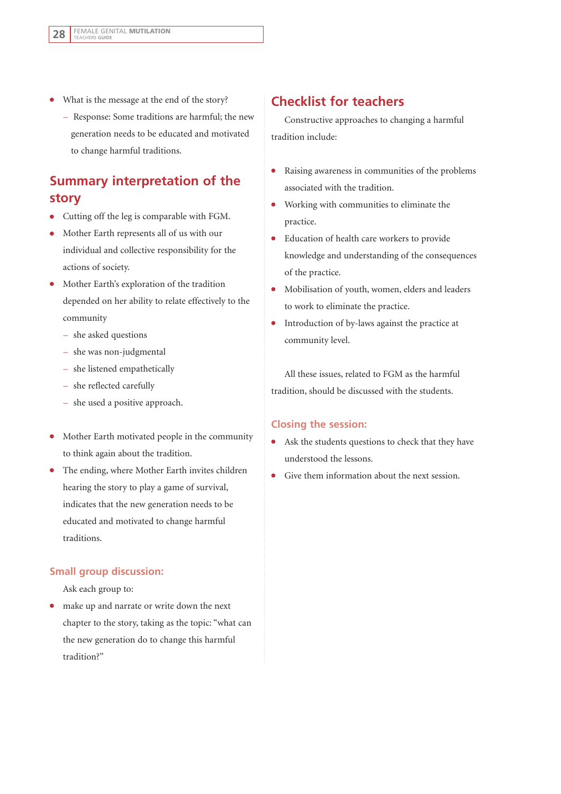- What is the message at the end of the story?
	- *–* Response: Some traditions are harmful; the new generation needs to be educated and motivated to change harmful traditions.

# **Summary interpretation of the story**

- Cutting off the leg is comparable with FGM.
- Mother Earth represents all of us with our individual and collective responsibility for the actions of society.
- Mother Earth's exploration of the tradition depended on her ability to relate effectively to the community
	- *–* she asked questions
	- *–* she was non-judgmental
	- *–* she listened empathetically
	- *–* she reflected carefully
	- *–* she used a positive approach.
- Mother Earth motivated people in the community to think again about the tradition.
- The ending, where Mother Earth invites children hearing the story to play a game of survival, indicates that the new generation needs to be educated and motivated to change harmful traditions.

#### **Small group discussion:**

Ask each group to:

make up and narrate or write down the next chapter to the story, taking as the topic: "what can the new generation do to change this harmful tradition?"

# **Checklist for teachers**

Constructive approaches to changing a harmful tradition include:

- Raising awareness in communities of the problems associated with the tradition.
- Working with communities to eliminate the practice.
- Education of health care workers to provide knowledge and understanding of the consequences of the practice.
- Mobilisation of youth, women, elders and leaders to work to eliminate the practice.
- Introduction of by-laws against the practice at community level.

All these issues, related to FGM as the harmful tradition, should be discussed with the students.

#### **Closing the session:**

- Ask the students questions to check that they have understood the lessons.
- Give them information about the next session.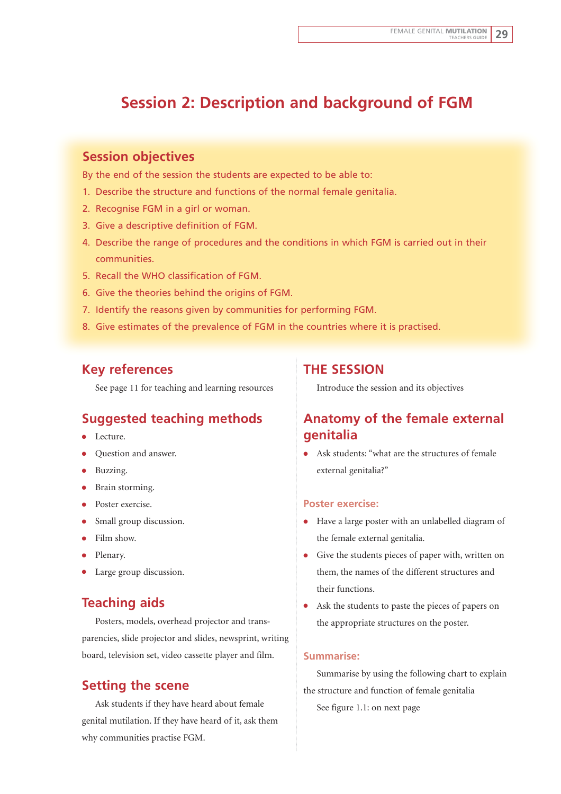# **Session 2: Description and background of FGM**

# **Session objectives**

By the end of the session the students are expected to be able to:

- 1. Describe the structure and functions of the normal female genitalia.
- 2. Recognise FGM in a girl or woman.
- 3. Give a descriptive definition of FGM.
- 4. Describe the range of procedures and the conditions in which FGM is carried out in their communities.
- 5. Recall the WHO classification of FGM.
- 6. Give the theories behind the origins of FGM.
- 7. Identify the reasons given by communities for performing FGM.
- 8. Give estimates of the prevalence of FGM in the countries where it is practised.

# **Key references**

See page 11 for teaching and learning resources

# **Suggested teaching methods**

- Lecture.
- Question and answer.
- Buzzing.
- Brain storming.
- Poster exercise.
- Small group discussion.
- Film show.
- Plenary.
- Large group discussion.

# **Teaching aids**

Posters, models, overhead projector and transparencies, slide projector and slides, newsprint, writing board, television set, video cassette player and film.

### **Setting the scene**

Ask students if they have heard about female genital mutilation. If they have heard of it, ask them why communities practise FGM.

# **THE SESSION**

Introduce the session and its objectives

# **Anatomy of the female external genitalia**

● Ask students: "what are the structures of female external genitalia?"

#### **Poster exercise:**

- Have a large poster with an unlabelled diagram of the female external genitalia.
- Give the students pieces of paper with, written on them, the names of the different structures and their functions.
- Ask the students to paste the pieces of papers on the appropriate structures on the poster.

#### **Summarise:**

Summarise by using the following chart to explain the structure and function of female genitalia See figure 1.1: on next page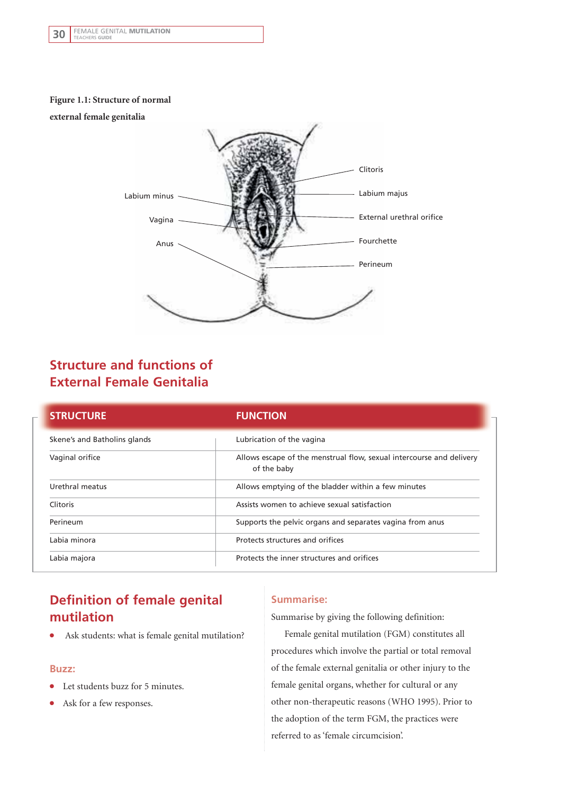#### **Figure 1.1: Structure of normal**

#### **external female genitalia**



# **Structure and functions of External Female Genitalia**

| <b>STRUCTURE</b>             | <b>FUNCTION</b>                                                                     |
|------------------------------|-------------------------------------------------------------------------------------|
| Skene's and Batholins glands | Lubrication of the vagina                                                           |
| Vaginal orifice              | Allows escape of the menstrual flow, sexual intercourse and delivery<br>of the baby |
| Urethral meatus              | Allows emptying of the bladder within a few minutes                                 |
| Clitoris                     | Assists women to achieve sexual satisfaction                                        |
| Perineum                     | Supports the pelvic organs and separates vagina from anus                           |
| Labia minora                 | Protects structures and orifices                                                    |
| Labia majora                 | Protects the inner structures and orifices                                          |

# **Definition of female genital mutilation**

Ask students: what is female genital mutilation?

#### **Buzz:**

- Let students buzz for 5 minutes.
- Ask for a few responses.

#### **Summarise:**

Summarise by giving the following definition:

Female genital mutilation (FGM) constitutes all procedures which involve the partial or total removal of the female external genitalia or other injury to the female genital organs, whether for cultural or any other non-therapeutic reasons (WHO 1995). Prior to the adoption of the term FGM, the practices were referred to as 'female circumcision'.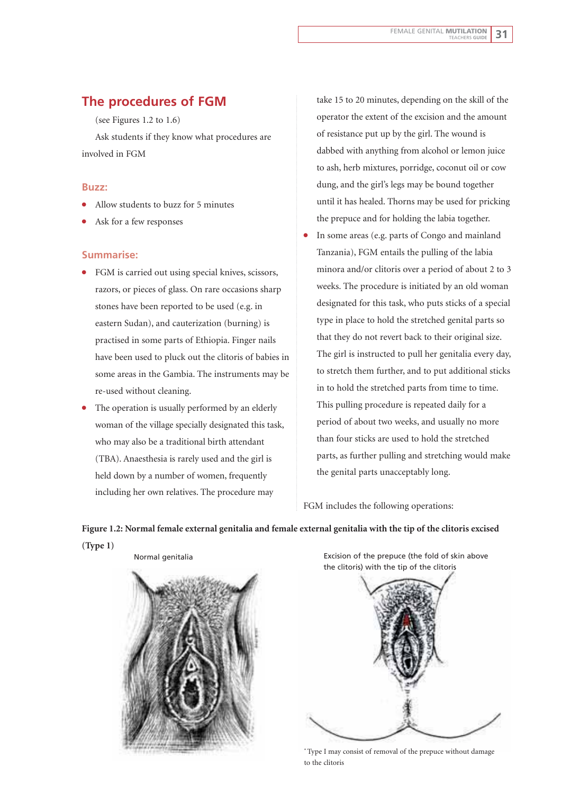# **The procedures of FGM**

(see Figures 1.2 to 1.6)

Ask students if they know what procedures are involved in FGM

#### **Buzz:**

- Allow students to buzz for 5 minutes
- Ask for a few responses

#### **Summarise:**

- FGM is carried out using special knives, scissors, razors, or pieces of glass. On rare occasions sharp stones have been reported to be used (e.g. in eastern Sudan), and cauterization (burning) is practised in some parts of Ethiopia. Finger nails have been used to pluck out the clitoris of babies in some areas in the Gambia. The instruments may be re-used without cleaning.
- The operation is usually performed by an elderly woman of the village specially designated this task, who may also be a traditional birth attendant (TBA). Anaesthesia is rarely used and the girl is held down by a number of women, frequently including her own relatives. The procedure may

take 15 to 20 minutes, depending on the skill of the operator the extent of the excision and the amount of resistance put up by the girl. The wound is dabbed with anything from alcohol or lemon juice to ash, herb mixtures, porridge, coconut oil or cow dung, and the girl's legs may be bound together until it has healed. Thorns may be used for pricking the prepuce and for holding the labia together.

In some areas (e.g. parts of Congo and mainland Tanzania), FGM entails the pulling of the labia minora and/or clitoris over a period of about 2 to 3 weeks. The procedure is initiated by an old woman designated for this task, who puts sticks of a special type in place to hold the stretched genital parts so that they do not revert back to their original size. The girl is instructed to pull her genitalia every day, to stretch them further, and to put additional sticks in to hold the stretched parts from time to time. This pulling procedure is repeated daily for a period of about two weeks, and usually no more than four sticks are used to hold the stretched parts, as further pulling and stretching would make the genital parts unacceptably long.

FGM includes the following operations:

#### **Figure 1.2: Normal female external genitalia and female external genitalia with the tip of the clitoris excised**

**(Type 1)**



Normal genitalia Excision of the prepuce (the fold of skin above the clitoris) with the tip of the clitoris



\* Type I may consist of removal of the prepuce without damage to the clitoris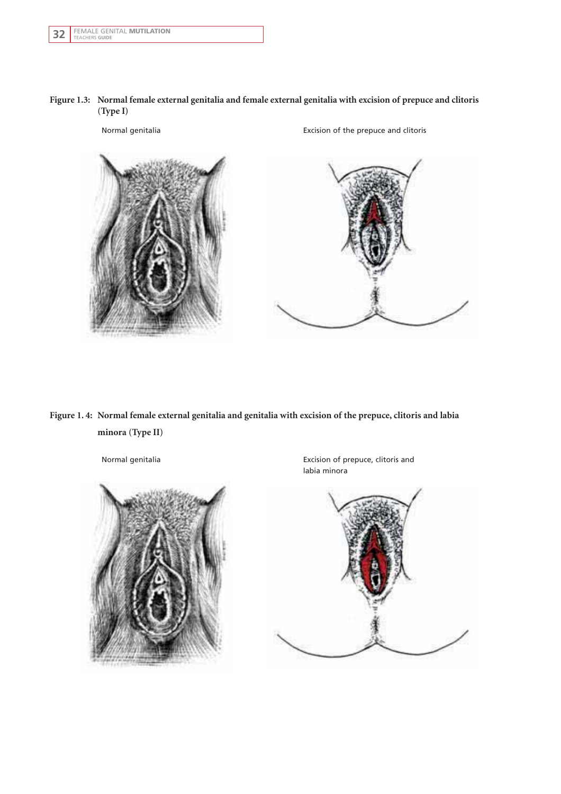#### **Figure 1.3: Normal female external genitalia and female external genitalia with excision of prepuce and clitoris (Type I)**



Normal genitalia Excision of the prepuce and clitoris



**Figure 1. 4: Normal female external genitalia and genitalia with excision of the prepuce, clitoris and labia minora (Type II)**



Normal genitalia Excision of prepuce, clitoris and labia minora

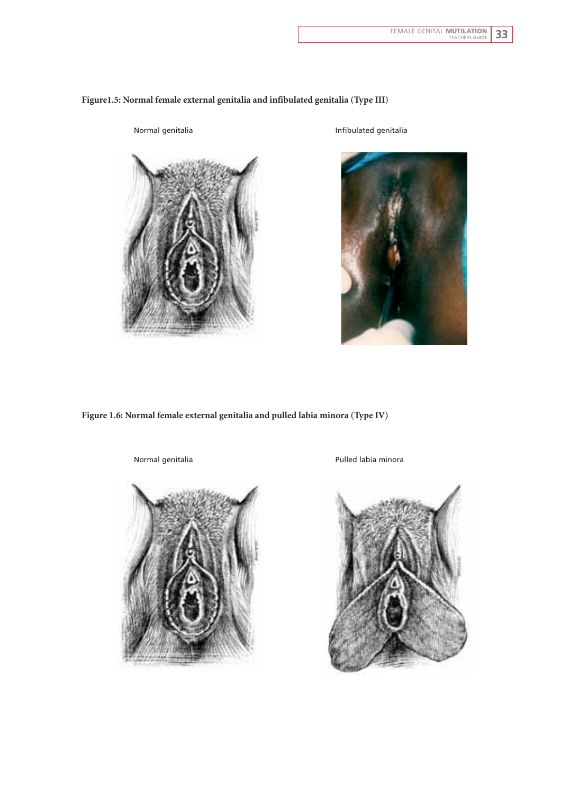# **Figure1.5: Normal female external genitalia and infibulated genitalia (Type III)**





**Figure 1.6: Normal female external genitalia and pulled labia minora (Type IV)**



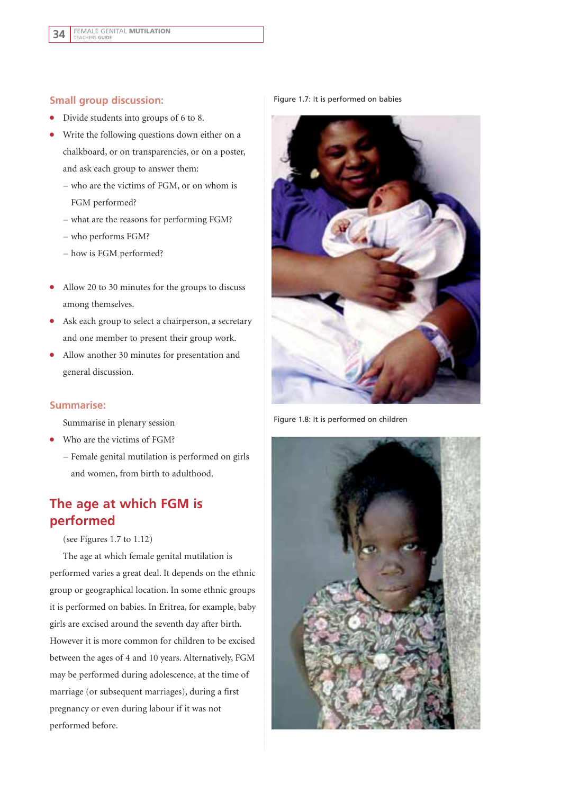#### **Small group discussion:**

- Divide students into groups of 6 to 8.
- Write the following questions down either on a chalkboard, or on transparencies, or on a poster, and ask each group to answer them:
	- *–* who are the victims of FGM, or on whom is FGM performed?
	- *–* what are the reasons for performing FGM?
	- *–* who performs FGM?
	- *–* how is FGM performed?
- Allow 20 to 30 minutes for the groups to discuss among themselves.
- Ask each group to select a chairperson, a secretary and one member to present their group work.
- Allow another 30 minutes for presentation and general discussion.

#### **Summarise:**

Summarise in plenary session

- Who are the victims of FGM?
	- *–* Female genital mutilation is performed on girls and women, from birth to adulthood.

# **The age at which FGM is performed**

(see Figures 1.7 to 1.12)

The age at which female genital mutilation is performed varies a great deal. It depends on the ethnic group or geographical location. In some ethnic groups it is performed on babies. In Eritrea, for example, baby girls are excised around the seventh day after birth. However it is more common for children to be excised between the ages of 4 and 10 years. Alternatively, FGM may be performed during adolescence, at the time of marriage (or subsequent marriages), during a first pregnancy or even during labour if it was not performed before.

Figure 1.7: It is performed on babies



Figure 1.8: It is performed on children

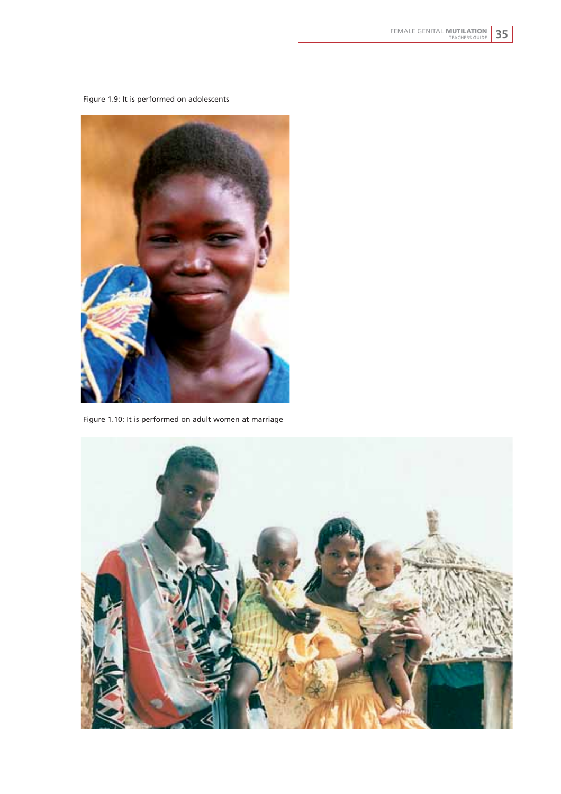Figure 1.9: It is performed on adolescents



Figure 1.10: It is performed on adult women at marriage

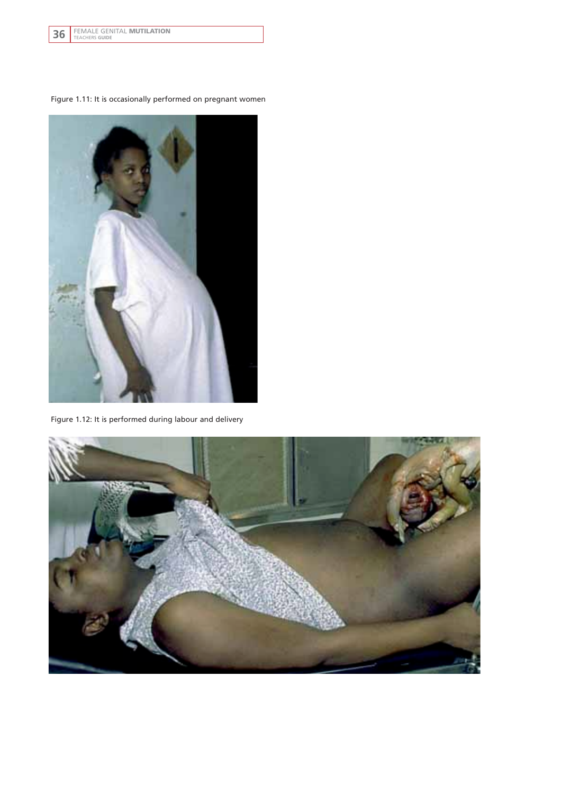Figure 1.11: It is occasionally performed on pregnant women



Figure 1.12: It is performed during labour and delivery

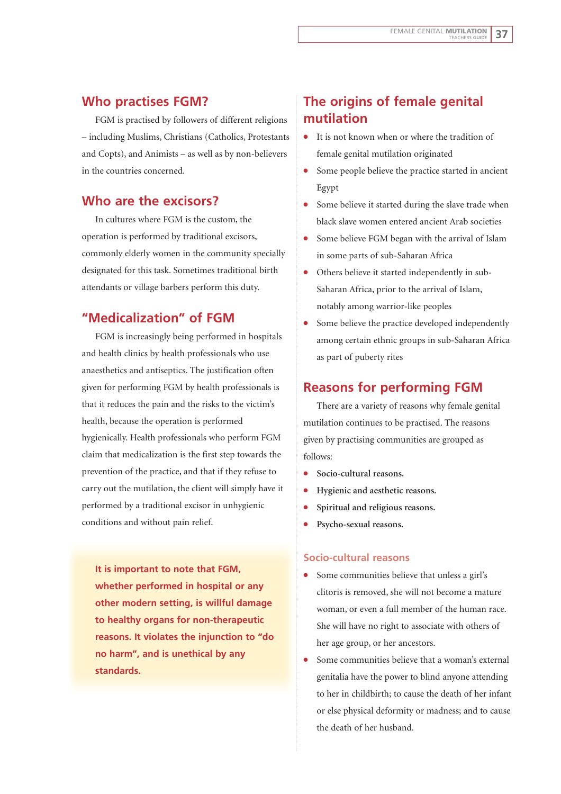# **Who practises FGM?**

FGM is practised by followers of different religions – including Muslims, Christians (Catholics, Protestants and Copts), and Animists – as well as by non-believers in the countries concerned.

# **Who are the excisors?**

In cultures where FGM is the custom, the operation is performed by traditional excisors, commonly elderly women in the community specially designated for this task. Sometimes traditional birth attendants or village barbers perform this duty.

# **"Medicalization" of FGM**

FGM is increasingly being performed in hospitals and health clinics by health professionals who use anaesthetics and antiseptics. The justification often given for performing FGM by health professionals is that it reduces the pain and the risks to the victim's health, because the operation is performed hygienically. Health professionals who perform FGM claim that medicalization is the first step towards the prevention of the practice, and that if they refuse to carry out the mutilation, the client will simply have it performed by a traditional excisor in unhygienic conditions and without pain relief.

**It is important to note that FGM, whether performed in hospital or any other modern setting, is willful damage to healthy organs for non-therapeutic reasons. It violates the injunction to "do no harm", and is unethical by any standards.**

# **The origins of female genital mutilation**

- It is not known when or where the tradition of female genital mutilation originated
- Some people believe the practice started in ancient Egypt
- Some believe it started during the slave trade when black slave women entered ancient Arab societies
- Some believe FGM began with the arrival of Islam in some parts of sub-Saharan Africa
- Others believe it started independently in sub-Saharan Africa, prior to the arrival of Islam, notably among warrior-like peoples
- Some believe the practice developed independently among certain ethnic groups in sub-Saharan Africa as part of puberty rites

# **Reasons for performing FGM**

There are a variety of reasons why female genital mutilation continues to be practised. The reasons given by practising communities are grouped as follows:

- **Socio-cultural reasons.**
- **Hygienic and aesthetic reasons.**
- **Spiritual and religious reasons.**
- **Psycho-sexual reasons.**

#### **Socio-cultural reasons**

- Some communities believe that unless a girl's clitoris is removed, she will not become a mature woman, or even a full member of the human race. She will have no right to associate with others of her age group, or her ancestors.
- Some communities believe that a woman's external genitalia have the power to blind anyone attending to her in childbirth; to cause the death of her infant or else physical deformity or madness; and to cause the death of her husband.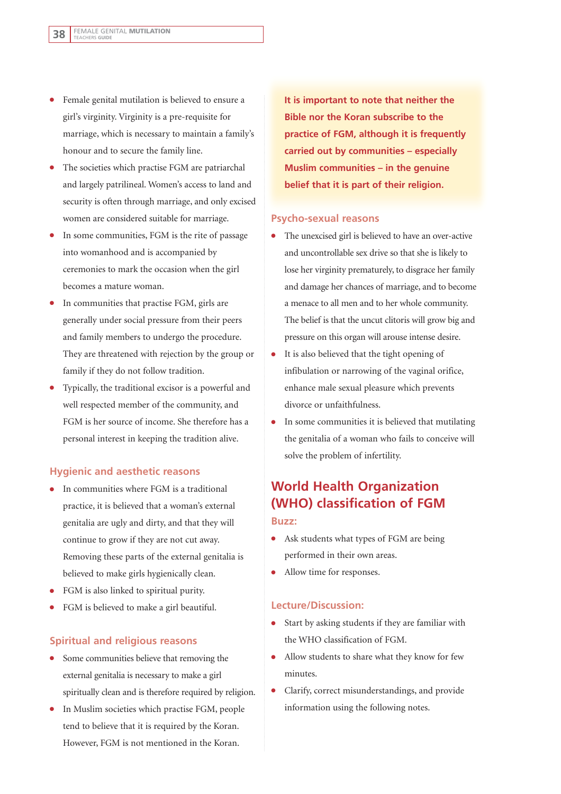- Female genital mutilation is believed to ensure a girl's virginity. Virginity is a pre-requisite for marriage, which is necessary to maintain a family's honour and to secure the family line.
- The societies which practise FGM are patriarchal and largely patrilineal. Women's access to land and security is often through marriage, and only excised women are considered suitable for marriage.
- In some communities, FGM is the rite of passage into womanhood and is accompanied by ceremonies to mark the occasion when the girl becomes a mature woman.
- In communities that practise FGM, girls are generally under social pressure from their peers and family members to undergo the procedure. They are threatened with rejection by the group or family if they do not follow tradition.
- Typically, the traditional excisor is a powerful and well respected member of the community, and FGM is her source of income. She therefore has a personal interest in keeping the tradition alive.

#### **Hygienic and aesthetic reasons**

- In communities where FGM is a traditional practice, it is believed that a woman's external genitalia are ugly and dirty, and that they will continue to grow if they are not cut away. Removing these parts of the external genitalia is believed to make girls hygienically clean.
- FGM is also linked to spiritual purity.
- FGM is believed to make a girl beautiful.

#### **Spiritual and religious reasons**

- Some communities believe that removing the external genitalia is necessary to make a girl spiritually clean and is therefore required by religion.
- In Muslim societies which practise FGM, people tend to believe that it is required by the Koran. However, FGM is not mentioned in the Koran.

**It is important to note that neither the Bible nor the Koran subscribe to the practice of FGM, although it is frequently carried out by communities – especially Muslim communities – in the genuine belief that it is part of their religion.**

#### **Psycho-sexual reasons**

- The unexcised girl is believed to have an over-active and uncontrollable sex drive so that she is likely to lose her virginity prematurely, to disgrace her family and damage her chances of marriage, and to become a menace to all men and to her whole community. The belief is that the uncut clitoris will grow big and pressure on this organ will arouse intense desire.
- It is also believed that the tight opening of infibulation or narrowing of the vaginal orifice, enhance male sexual pleasure which prevents divorce or unfaithfulness.
- In some communities it is believed that mutilating the genitalia of a woman who fails to conceive will solve the problem of infertility.

# **World Health Organization (WHO) classification of FGM Buzz:**

- Ask students what types of FGM are being performed in their own areas.
- Allow time for responses.

#### **Lecture/Discussion:**

- Start by asking students if they are familiar with the WHO classification of FGM.
- Allow students to share what they know for few minutes.
- Clarify, correct misunderstandings, and provide information using the following notes.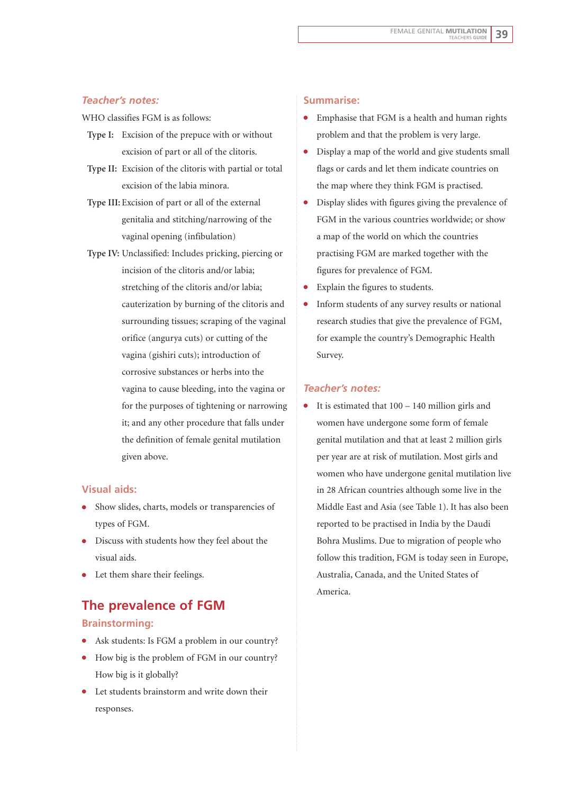#### *Teacher's notes:*

WHO classifies FGM is as follows:

- **Type I:** Excision of the prepuce with or without excision of part or all of the clitoris.
- **Type II:** Excision of the clitoris with partial or total excision of the labia minora.
- **Type III:** Excision of part or all of the external genitalia and stitching/narrowing of the vaginal opening (infibulation)
- **Type IV:** Unclassified: Includes pricking, piercing or incision of the clitoris and/or labia; stretching of the clitoris and/or labia; cauterization by burning of the clitoris and surrounding tissues; scraping of the vaginal orifice (angurya cuts) or cutting of the vagina (gishiri cuts); introduction of corrosive substances or herbs into the vagina to cause bleeding, into the vagina or for the purposes of tightening or narrowing it; and any other procedure that falls under the definition of female genital mutilation given above.

#### **Visual aids:**

- Show slides, charts, models or transparencies of types of FGM.
- Discuss with students how they feel about the visual aids.
- Let them share their feelings.

# **The prevalence of FGM**

#### **Brainstorming:**

- Ask students: Is FGM a problem in our country?
- How big is the problem of FGM in our country? How big is it globally?
- Let students brainstorm and write down their responses.

#### **Summarise:**

- Emphasise that FGM is a health and human rights problem and that the problem is very large.
- Display a map of the world and give students small flags or cards and let them indicate countries on the map where they think FGM is practised.
- Display slides with figures giving the prevalence of FGM in the various countries worldwide; or show a map of the world on which the countries practising FGM are marked together with the figures for prevalence of FGM.
- Explain the figures to students.
- Inform students of any survey results or national research studies that give the prevalence of FGM, for example the country's Demographic Health Survey.

#### *Teacher's notes:*

It is estimated that  $100 - 140$  million girls and women have undergone some form of female genital mutilation and that at least 2 million girls per year are at risk of mutilation. Most girls and women who have undergone genital mutilation live in 28 African countries although some live in the Middle East and Asia (see Table 1). It has also been reported to be practised in India by the Daudi Bohra Muslims. Due to migration of people who follow this tradition, FGM is today seen in Europe, Australia, Canada, and the United States of America.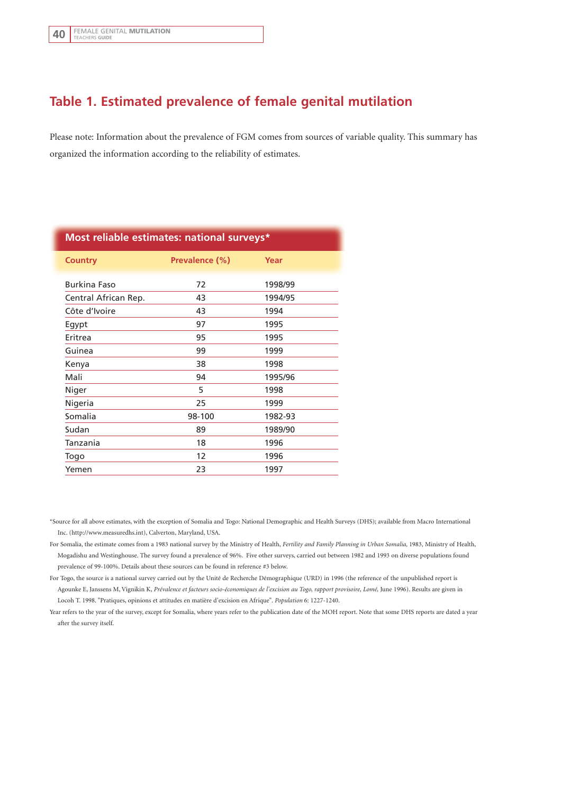# **Table 1. Estimated prevalence of female genital mutilation**

Please note: Information about the prevalence of FGM comes from sources of variable quality. This summary has organized the information according to the reliability of estimates.

| Most reliable estimates: national surveys* |                |         |  |
|--------------------------------------------|----------------|---------|--|
| <b>Country</b>                             | Prevalence (%) | Year    |  |
| <b>Burkina Faso</b>                        | 72             | 1998/99 |  |
| Central African Rep.                       | 43             | 1994/95 |  |
| Côte d'Ivoire                              | 43             | 1994    |  |
| Egypt                                      | 97             | 1995    |  |
| Eritrea                                    | 95             | 1995    |  |
| Guinea                                     | 99             | 1999    |  |
| Kenya                                      | 38             | 1998    |  |
| Mali                                       | 94             | 1995/96 |  |
| Niger                                      | 5              | 1998    |  |
| Nigeria                                    | 25             | 1999    |  |
| Somalia                                    | 98-100         | 1982-93 |  |
| Sudan                                      | 89             | 1989/90 |  |
| Tanzania                                   | 18             | 1996    |  |
| Togo                                       | 12             | 1996    |  |
| Yemen                                      | 23             | 1997    |  |

\*Source for all above estimates, with the exception of Somalia and Togo: National Demographic and Health Surveys (DHS); available from Macro International Inc. (http://www.measuredhs.int), Calverton, Maryland, USA.

For Somalia, the estimate comes from a 1983 national survey by the Ministry of Health, *Fertility and Family Planning in Urban Somalia,* 1983*,* Ministry of Health, Mogadishu and Westinghouse. The survey found a prevalence of 96%. Five other surveys, carried out between 1982 and 1993 on diverse populations found prevalence of 99-100%. Details about these sources can be found in reference #3 below.

For Togo, the source is a national survey carried out by the Unité de Recherche Démographique (URD) in 1996 (the reference of the unpublished report is Agounke E, Janssens M, Vignikin K, *Prévalence et facteurs socio-économiques de l'excision au Togo, rapport provisoire, Lomé,* June 1996). Results are given in Locoh T. 1998. "Pratiques, opinions et attitudes en matière d'excision en Afrique". *Population* 6: 1227-1240.

Year refers to the year of the survey, except for Somalia, where years refer to the publication date of the MOH report. Note that some DHS reports are dated a year after the survey itself.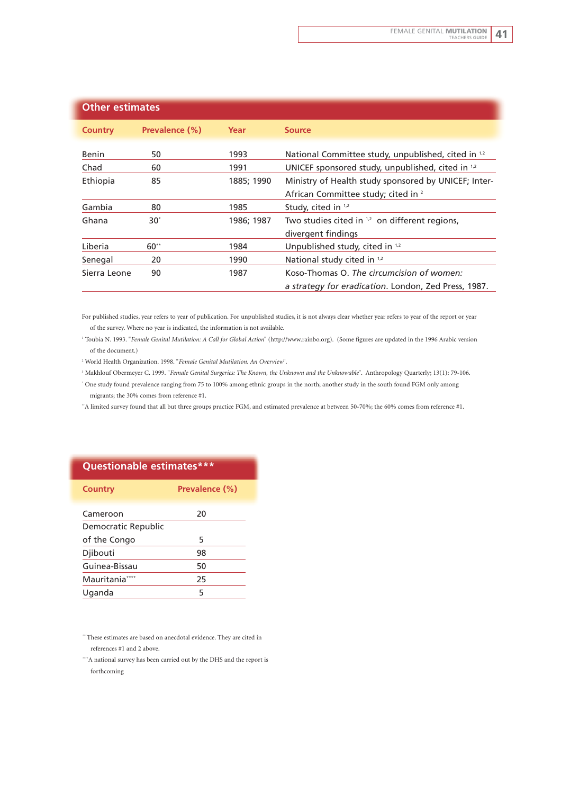| <b>Other estimates</b> |                |              |                                                                                                            |
|------------------------|----------------|--------------|------------------------------------------------------------------------------------------------------------|
| <b>Country</b>         | Prevalence (%) | Year         | <b>Source</b>                                                                                              |
| Benin<br>Chad          | 50<br>60       | 1993<br>1991 | National Committee study, unpublished, cited in 1,2<br>UNICEF sponsored study, unpublished, cited in $1,2$ |
| Ethiopia               | 85             | 1885; 1990   | Ministry of Health study sponsored by UNICEF; Inter-<br>African Committee study; cited in <sup>2</sup>     |
| Gambia                 | 80             | 1985         | Study, cited in $1,2$                                                                                      |
| Ghana                  | $30^*$         | 1986; 1987   | Two studies cited in $1,2$ on different regions,<br>divergent findings                                     |
| Liberia                | $60^{**}$      | 1984         | Unpublished study, cited in 1,2                                                                            |
| Senegal                | 20             | 1990         | National study cited in 1,2                                                                                |
| Sierra Leone           | 90             | 1987         | Koso-Thomas O. The circumcision of women:<br>a strategy for eradication. London, Zed Press, 1987.          |

For published studies, year refers to year of publication. For unpublished studies, it is not always clear whether year refers to year of the report or year of the survey. Where no year is indicated, the information is not available.

<sup>1</sup> Toubia N. 1993. "*Female Genital Mutilation: A Call for Global Action*" (http://www.rainbo.org). (Some figures are updated in the 1996 Arabic version of the document.)

<sup>2</sup> World Health Organization. 1998. "*Female Genital Mutilation. An Overview*".

<sup>3</sup> Makhlouf Obermeyer C. 1999. "*Female Genital Surgeries: The Known, the Unknown and the Unknowable*". Anthropology Quarterly; 13(1): 79-106.

\* One study found prevalence ranging from 75 to 100% among ethnic groups in the north; another study in the south found FGM only among migrants; the 30% comes from reference #1.

\*\*A limited survey found that all but three groups practice FGM, and estimated prevalence at between 50-70%; the 60% comes from reference #1.

#### **Questionable estimates\*\*\***

| Prevalence (%) |
|----------------|
| 20             |
|                |
| 5              |
| 98             |
| 50             |
| 25             |
| 5              |
|                |

\*\*\*These estimates are based on anecdotal evidence. They are cited in references #1 and 2 above.

\*\*\*A national survey has been carried out by the DHS and the report is forthcoming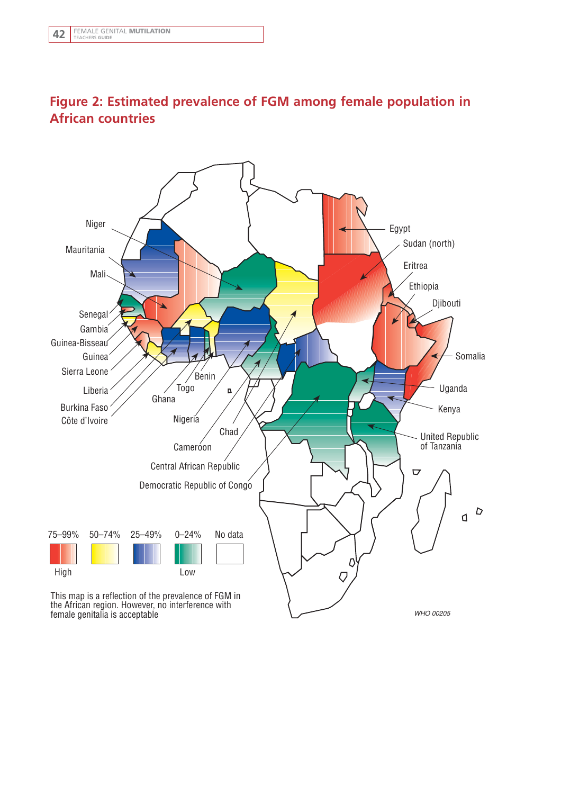

# **Figure 2: Estimated prevalence of FGM among female population in African countries**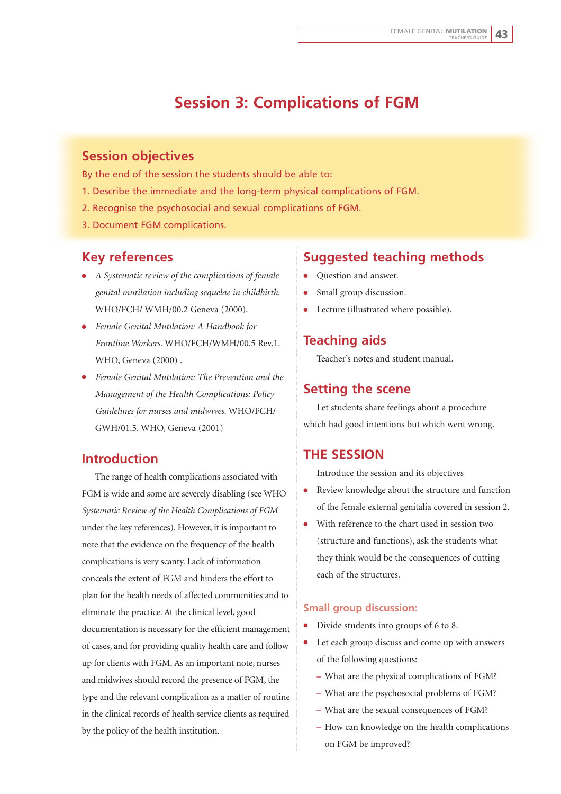# **Session 3: Complications of FGM**

# **Session objectives**

By the end of the session the students should be able to:

- 1. Describe the immediate and the long-term physical complications of FGM.
- 2. Recognise the psychosocial and sexual complications of FGM.
- 3. Document FGM complications.

# **Key references**

- *A Systematic review of the complications of female genital mutilation including sequelae in childbirth.* WHO/FCH/ WMH/00.2 Geneva (2000).
- *Female Genital Mutilation: A Handbook for Frontline Workers.* WHO/FCH/WMH/00.5 Rev.1. WHO, Geneva (2000) .
- *Female Genital Mutilation: The Prevention and the Management of the Health Complications: Policy Guidelines for nurses and midwives.* WHO/FCH/ GWH/01.5. WHO, Geneva (2001)

# **Introduction**

The range of health complications associated with FGM is wide and some are severely disabling (see WHO *Systematic Review of the Health Complications of FGM* under the key references). However, it is important to note that the evidence on the frequency of the health complications is very scanty. Lack of information conceals the extent of FGM and hinders the effort to plan for the health needs of affected communities and to eliminate the practice. At the clinical level, good documentation is necessary for the efficient management of cases, and for providing quality health care and follow up for clients with FGM. As an important note, nurses and midwives should record the presence of FGM, the type and the relevant complication as a matter of routine in the clinical records of health service clients as required by the policy of the health institution.

# **Suggested teaching methods**

- Ouestion and answer.
- Small group discussion.
- Lecture (illustrated where possible).

# **Teaching aids**

Teacher's notes and student manual.

### **Setting the scene**

Let students share feelings about a procedure which had good intentions but which went wrong.

# **THE SESSION**

Introduce the session and its objectives

- Review knowledge about the structure and function of the female external genitalia covered in session 2.
- With reference to the chart used in session two (structure and functions), ask the students what they think would be the consequences of cutting each of the structures.

#### **Small group discussion:**

- Divide students into groups of 6 to 8.
- Let each group discuss and come up with answers of the following questions:
	- **–** What are the physical complications of FGM?
	- **–** What are the psychosocial problems of FGM?
	- **–** What are the sexual consequences of FGM?
	- **–** How can knowledge on the health complications on FGM be improved?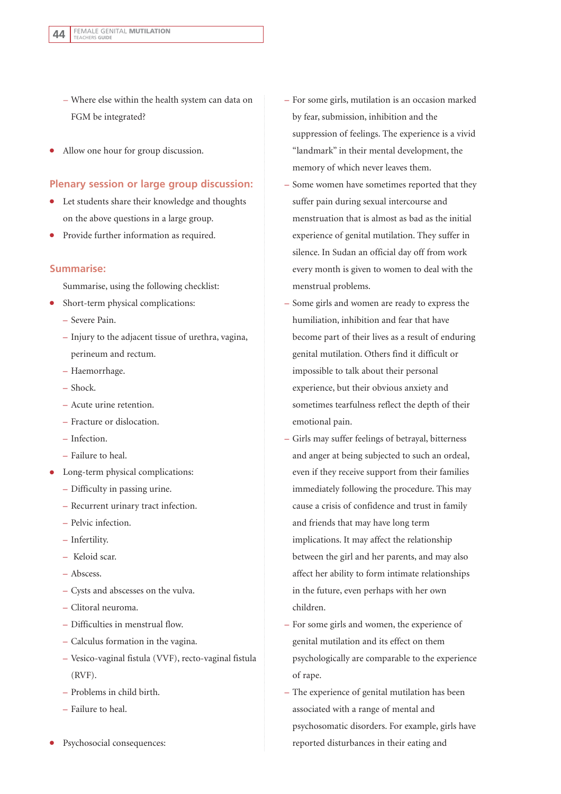- *–* Where else within the health system can data on FGM be integrated?
- Allow one hour for group discussion.

#### **Plenary session or large group discussion:**

- Let students share their knowledge and thoughts on the above questions in a large group.
- Provide further information as required.

#### **Summarise:**

Summarise, using the following checklist:

- Short-term physical complications:
	- **–** Severe Pain.
	- **–** Injury to the adjacent tissue of urethra, vagina, perineum and rectum.
	- **–** Haemorrhage.
	- **–** Shock.
	- **–** Acute urine retention.
	- **–** Fracture or dislocation.
	- **–** Infection.
	- **–** Failure to heal.
- Long-term physical complications:
	- **–** Difficulty in passing urine.
	- **–** Recurrent urinary tract infection.
	- **–** Pelvic infection.
	- **–** Infertility.
	- **–** Keloid scar.
	- **–** Abscess.
	- **–** Cysts and abscesses on the vulva.
	- **–** Clitoral neuroma.
	- **–** Difficulties in menstrual flow.
	- **–** Calculus formation in the vagina.
	- **–** Vesico-vaginal fistula (VVF), recto-vaginal fistula (RVF).
	- **–** Problems in child birth.
	- **–** Failure to heal.
- Psychosocial consequences:
- **–** For some girls, mutilation is an occasion marked by fear, submission, inhibition and the suppression of feelings. The experience is a vivid "landmark" in their mental development, the memory of which never leaves them.
- **–** Some women have sometimes reported that they suffer pain during sexual intercourse and menstruation that is almost as bad as the initial experience of genital mutilation. They suffer in silence. In Sudan an official day off from work every month is given to women to deal with the menstrual problems.
- **–** Some girls and women are ready to express the humiliation, inhibition and fear that have become part of their lives as a result of enduring genital mutilation. Others find it difficult or impossible to talk about their personal experience, but their obvious anxiety and sometimes tearfulness reflect the depth of their emotional pain.
- **–** Girls may suffer feelings of betrayal, bitterness and anger at being subjected to such an ordeal, even if they receive support from their families immediately following the procedure. This may cause a crisis of confidence and trust in family and friends that may have long term implications. It may affect the relationship between the girl and her parents, and may also affect her ability to form intimate relationships in the future, even perhaps with her own children.
- **–** For some girls and women, the experience of genital mutilation and its effect on them psychologically are comparable to the experience of rape.
- **–** The experience of genital mutilation has been associated with a range of mental and psychosomatic disorders. For example, girls have reported disturbances in their eating and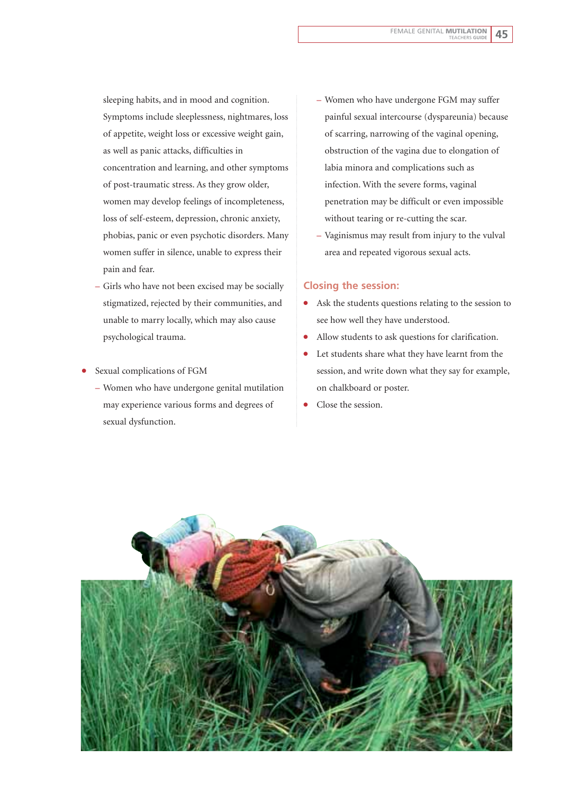sleeping habits, and in mood and cognition. Symptoms include sleeplessness, nightmares, loss of appetite, weight loss or excessive weight gain, as well as panic attacks, difficulties in concentration and learning, and other symptoms of post-traumatic stress. As they grow older, women may develop feelings of incompleteness, loss of self-esteem, depression, chronic anxiety, phobias, panic or even psychotic disorders. Many women suffer in silence, unable to express their pain and fear.

- **–** Girls who have not been excised may be socially stigmatized, rejected by their communities, and unable to marry locally, which may also cause psychological trauma.
- Sexual complications of FGM
	- **–** Women who have undergone genital mutilation may experience various forms and degrees of sexual dysfunction.
- **–** Women who have undergone FGM may suffer painful sexual intercourse (dyspareunia) because of scarring, narrowing of the vaginal opening, obstruction of the vagina due to elongation of labia minora and complications such as infection. With the severe forms, vaginal penetration may be difficult or even impossible without tearing or re-cutting the scar.
- **–** Vaginismus may result from injury to the vulval area and repeated vigorous sexual acts.

#### **Closing the session:**

- Ask the students questions relating to the session to see how well they have understood.
- Allow students to ask questions for clarification.
- Let students share what they have learnt from the session, and write down what they say for example, on chalkboard or poster.
- Close the session.

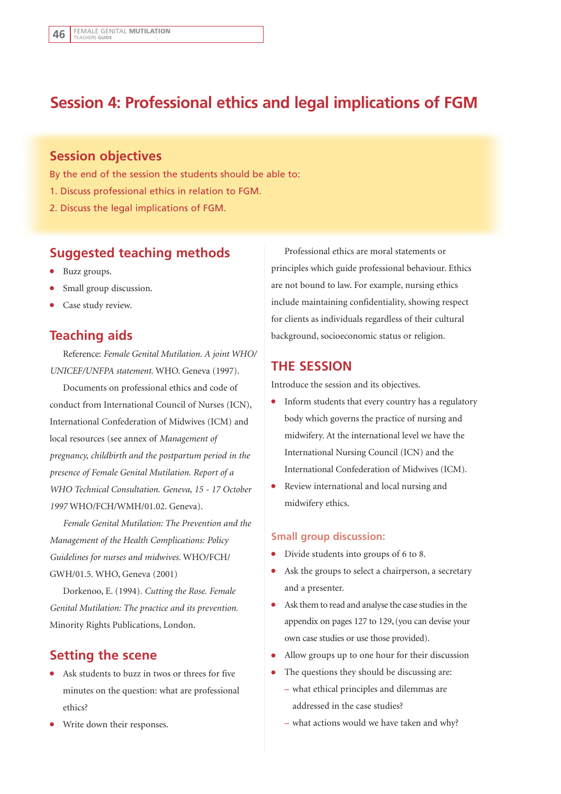# **Session 4: Professional ethics and legal implications of FGM**

### **Session objectives**

By the end of the session the students should be able to:

- 1. Discuss professional ethics in relation to FGM.
- 2. Discuss the legal implications of FGM.

# **Suggested teaching methods**

- Buzz groups.
- Small group discussion.
- Case study review.

# **Teaching aids**

Reference: *Female Genital Mutilation. A joint WHO/ UNICEF/UNFPA statement.* WHO. Geneva (1997).

Documents on professional ethics and code of conduct from International Council of Nurses (ICN), International Confederation of Midwives (ICM) and local resources (see annex of *Management of pregnancy, childbirth and the postpartum period in the presence of Female Genital Mutilation. Report of a WHO Technical Consultation. Geneva, 15 - 17 October 1997* WHO/FCH/WMH/01.02. Geneva).

*Female Genital Mutilation: The Prevention and the Management of the Health Complications: Policy Guidelines for nurses and midwives.* WHO/FCH/ GWH/01.5. WHO, Geneva (2001)

Dorkenoo, E. (1994)*. Cutting the Rose. Female Genital Mutilation: The practice and its prevention.* Minority Rights Publications, London.

# **Setting the scene**

- Ask students to buzz in twos or threes for five minutes on the question: what are professional ethics?
- Write down their responses.

Professional ethics are moral statements or principles which guide professional behaviour. Ethics are not bound to law. For example, nursing ethics include maintaining confidentiality, showing respect for clients as individuals regardless of their cultural background, socioeconomic status or religion.

### **THE SESSION**

Introduce the session and its objectives.

- Inform students that every country has a regulatory body which governs the practice of nursing and midwifery. At the international level we have the International Nursing Council (ICN) and the International Confederation of Midwives (ICM).
- Review international and local nursing and midwifery ethics.

#### **Small group discussion:**

- Divide students into groups of 6 to 8.
- Ask the groups to select a chairperson, a secretary and a presenter.
- Ask them to read and analyse the case studies in the appendix on pages 127 to 129, (you can devise your own case studies or use those provided).
- Allow groups up to one hour for their discussion
- The questions they should be discussing are:
	- **–** what ethical principles and dilemmas are addressed in the case studies?
	- **–** what actions would we have taken and why?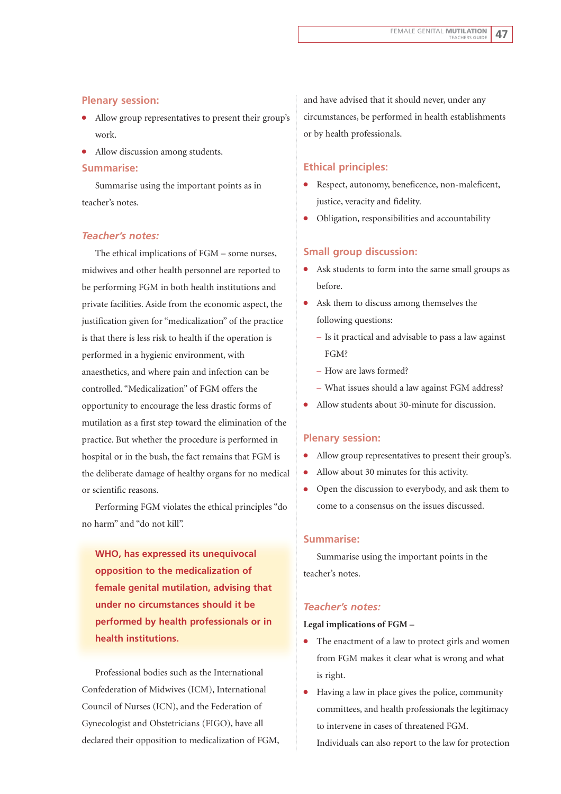#### **Plenary session:**

- Allow group representatives to present their group's work.
- Allow discussion among students.

#### **Summarise:**

Summarise using the important points as in teacher's notes.

#### *Teacher's notes:*

The ethical implications of FGM – some nurses, midwives and other health personnel are reported to be performing FGM in both health institutions and private facilities. Aside from the economic aspect, the justification given for "medicalization" of the practice is that there is less risk to health if the operation is performed in a hygienic environment, with anaesthetics, and where pain and infection can be controlled. "Medicalization" of FGM offers the opportunity to encourage the less drastic forms of mutilation as a first step toward the elimination of the practice. But whether the procedure is performed in hospital or in the bush, the fact remains that FGM is the deliberate damage of healthy organs for no medical or scientific reasons.

Performing FGM violates the ethical principles "do no harm" and "do not kill".

**WHO, has expressed its unequivocal opposition to the medicalization of female genital mutilation, advising that under no circumstances should it be performed by health professionals or in health institutions.**

Professional bodies such as the International Confederation of Midwives (ICM), International Council of Nurses (ICN), and the Federation of Gynecologist and Obstetricians (FIGO), have all declared their opposition to medicalization of FGM, and have advised that it should never, under any circumstances, be performed in health establishments or by health professionals.

#### **Ethical principles:**

- Respect, autonomy, beneficence, non-maleficent, justice, veracity and fidelity.
- Obligation, responsibilities and accountability

#### **Small group discussion:**

- Ask students to form into the same small groups as before.
- Ask them to discuss among themselves the following questions:
	- **–** Is it practical and advisable to pass a law against FGM?
	- **–** How are laws formed?
	- **–** What issues should a law against FGM address?
- Allow students about 30-minute for discussion.

#### **Plenary session:**

- Allow group representatives to present their group's.
- Allow about 30 minutes for this activity.
- Open the discussion to everybody, and ask them to come to a consensus on the issues discussed.

#### **Summarise:**

Summarise using the important points in the teacher's notes.

#### *Teacher's notes:*

#### **Legal implications of FGM –**

- The enactment of a law to protect girls and women from FGM makes it clear what is wrong and what is right.
- Having a law in place gives the police, community committees, and health professionals the legitimacy to intervene in cases of threatened FGM. Individuals can also report to the law for protection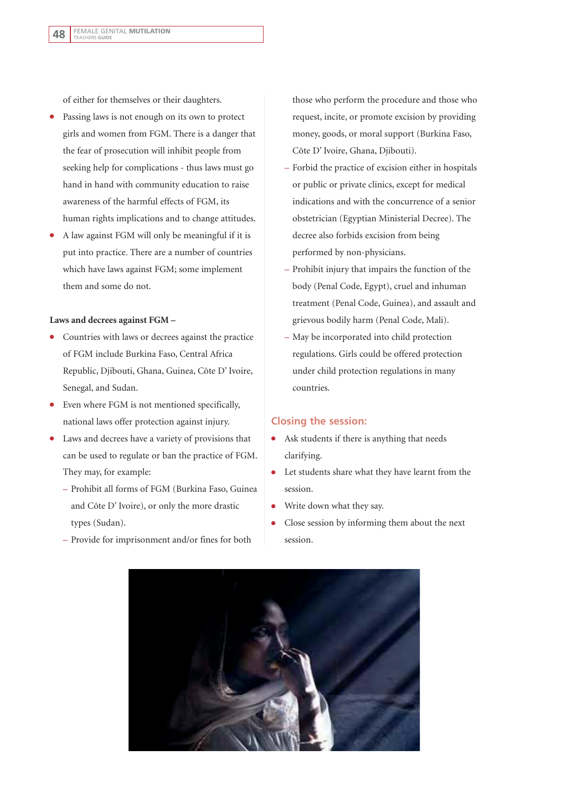of either for themselves or their daughters.

- Passing laws is not enough on its own to protect girls and women from FGM. There is a danger that the fear of prosecution will inhibit people from seeking help for complications - thus laws must go hand in hand with community education to raise awareness of the harmful effects of FGM, its human rights implications and to change attitudes.
- A law against FGM will only be meaningful if it is put into practice. There are a number of countries which have laws against FGM; some implement them and some do not.

#### **Laws and decrees against FGM –**

- Countries with laws or decrees against the practice of FGM include Burkina Faso, Central Africa Republic, Djibouti, Ghana, Guinea, Côte D' Ivoire, Senegal, and Sudan.
- Even where FGM is not mentioned specifically, national laws offer protection against injury.
- Laws and decrees have a variety of provisions that can be used to regulate or ban the practice of FGM. They may, for example:
	- **–** Prohibit all forms of FGM (Burkina Faso, Guinea and Côte D' Ivoire), or only the more drastic types (Sudan).
	- **–** Provide for imprisonment and/or fines for both

those who perform the procedure and those who request, incite, or promote excision by providing money, goods, or moral support (Burkina Faso, Côte D' Ivoire, Ghana, Djibouti).

- **–** Forbid the practice of excision either in hospitals or public or private clinics, except for medical indications and with the concurrence of a senior obstetrician (Egyptian Ministerial Decree). The decree also forbids excision from being performed by non-physicians.
- **–** Prohibit injury that impairs the function of the body (Penal Code, Egypt), cruel and inhuman treatment (Penal Code, Guinea), and assault and grievous bodily harm (Penal Code, Mali).
- **–** May be incorporated into child protection regulations. Girls could be offered protection under child protection regulations in many countries.

#### **Closing the session:**

- Ask students if there is anything that needs clarifying.
- Let students share what they have learnt from the session.
- Write down what they say.
- Close session by informing them about the next session.

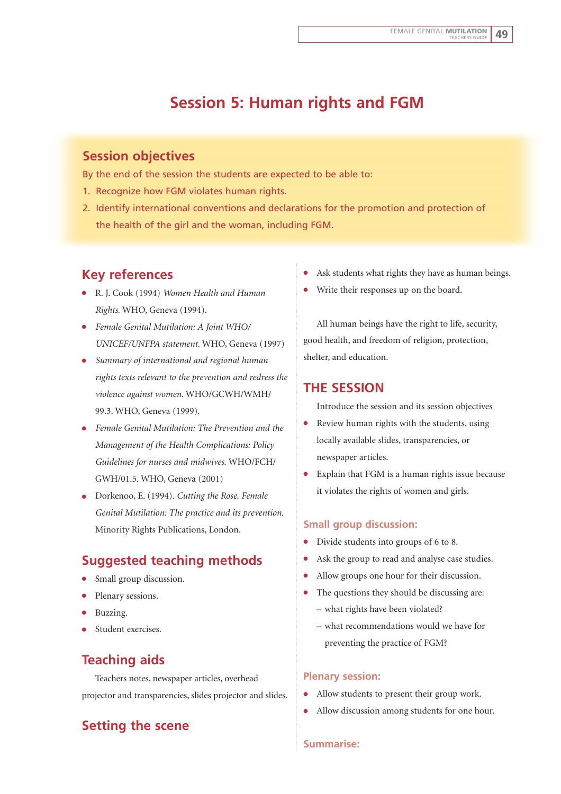# **Session 5: Human rights and FGM**

# **Session objectives**

By the end of the session the students are expected to be able to:

- 1. Recognize how FGM violates human rights.
- 2. Identify international conventions and declarations for the promotion and protection of the health of the girl and the woman, including FGM.

# **Key references**

- R. J. Cook (1994) *Women Health and Human Rights.* WHO, Geneva (1994).
- *Female Genital Mutilation: A Joint WHO/ UNICEF/UNFPA statement.* WHO, Geneva (1997)
- *Summary of international and regional human rights texts relevant to the prevention and redress the violence against women.* WHO/GCWH/WMH/ 99.3. WHO, Geneva (1999).
- *Female Genital Mutilation: The Prevention and the Management of the Health Complications: Policy Guidelines for nurses and midwives.* WHO/FCH/ GWH/01.5. WHO, Geneva (2001)
- Dorkenoo, E. (1994). *Cutting the Rose. Female Genital Mutilation: The practice and its prevention.* Minority Rights Publications, London.

# **Suggested teaching methods**

- Small group discussion.
- Plenary sessions.
- Buzzing.
- Student exercises.

# **Teaching aids**

Teachers notes, newspaper articles, overhead projector and transparencies, slides projector and slides.

# **Setting the scene**

- Ask students what rights they have as human beings.
- Write their responses up on the board.

All human beings have the right to life, security, good health, and freedom of religion, protection, shelter, and education.

# **THE SESSION**

Introduce the session and its session objectives

- Review human rights with the students, using locally available slides, transparencies, or newspaper articles.
- Explain that FGM is a human rights issue because it violates the rights of women and girls.

#### **Small group discussion:**

- Divide students into groups of 6 to 8.
- Ask the group to read and analyse case studies.
- Allow groups one hour for their discussion.
- The questions they should be discussing are:
	- **–** what rights have been violated?
	- **–** what recommendations would we have for preventing the practice of FGM?

#### **Plenary session:**

- Allow students to present their group work.
- Allow discussion among students for one hour.

#### **Summarise:**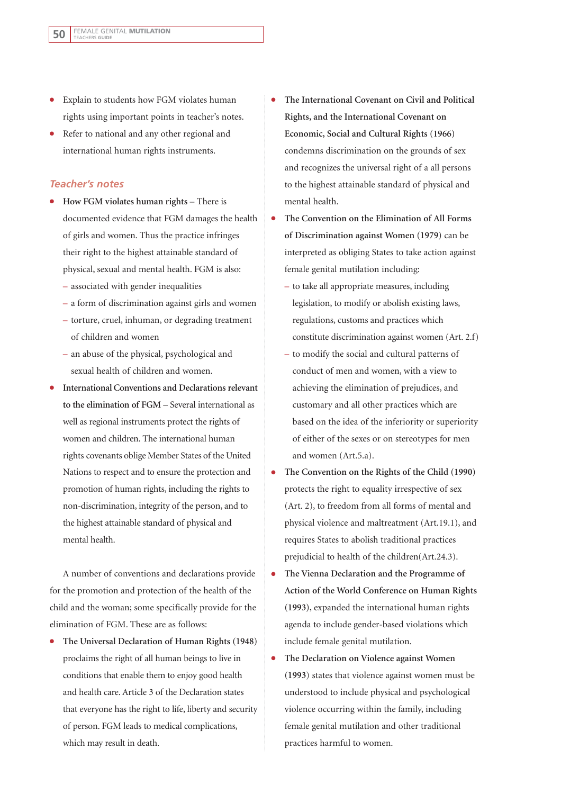- Explain to students how FGM violates human rights using important points in teacher's notes.
- Refer to national and any other regional and international human rights instruments.

#### *Teacher's notes*

- **How FGM violates human rights** There is documented evidence that FGM damages the health of girls and women. Thus the practice infringes their right to the highest attainable standard of physical, sexual and mental health. FGM is also: **–** associated with gender inequalities
	- **–** a form of discrimination against girls and women
	- **–** torture, cruel, inhuman, or degrading treatment of children and women
	- **–** an abuse of the physical, psychological and sexual health of children and women.
- **International Conventions and Declarations relevant to the elimination of FGM** – Several international as well as regional instruments protect the rights of women and children. The international human rights covenants oblige Member States of the United Nations to respect and to ensure the protection and promotion of human rights, including the rights to non-discrimination, integrity of the person, and to the highest attainable standard of physical and mental health.

A number of conventions and declarations provide for the promotion and protection of the health of the child and the woman; some specifically provide for the elimination of FGM. These are as follows:

● **The Universal Declaration of Human Rights (1948)** proclaims the right of all human beings to live in conditions that enable them to enjoy good health and health care. Article 3 of the Declaration states that everyone has the right to life, liberty and security of person. FGM leads to medical complications, which may result in death.

- **The International Covenant on Civil and Political Rights, and the International Covenant on Economic, Social and Cultural Rights (1966)** condemns discrimination on the grounds of sex and recognizes the universal right of a all persons to the highest attainable standard of physical and mental health.
- **The Convention on the Elimination of All Forms of Discrimination against Women (1979)** can be interpreted as obliging States to take action against female genital mutilation including:
	- **–** to take all appropriate measures, including legislation, to modify or abolish existing laws, regulations, customs and practices which constitute discrimination against women (Art. 2.f)
	- **–** to modify the social and cultural patterns of conduct of men and women, with a view to achieving the elimination of prejudices, and customary and all other practices which are based on the idea of the inferiority or superiority of either of the sexes or on stereotypes for men and women (Art.5.a).
- **The Convention on the Rights of the Child (1990)** protects the right to equality irrespective of sex (Art. 2), to freedom from all forms of mental and physical violence and maltreatment (Art.19.1), and requires States to abolish traditional practices prejudicial to health of the children(Art.24.3).
- **The Vienna Declaration and the Programme of Action of the World Conference on Human Rights (1993)**, expanded the international human rights agenda to include gender-based violations which include female genital mutilation.
- **The Declaration on Violence against Women (1993**) states that violence against women must be understood to include physical and psychological violence occurring within the family, including female genital mutilation and other traditional practices harmful to women.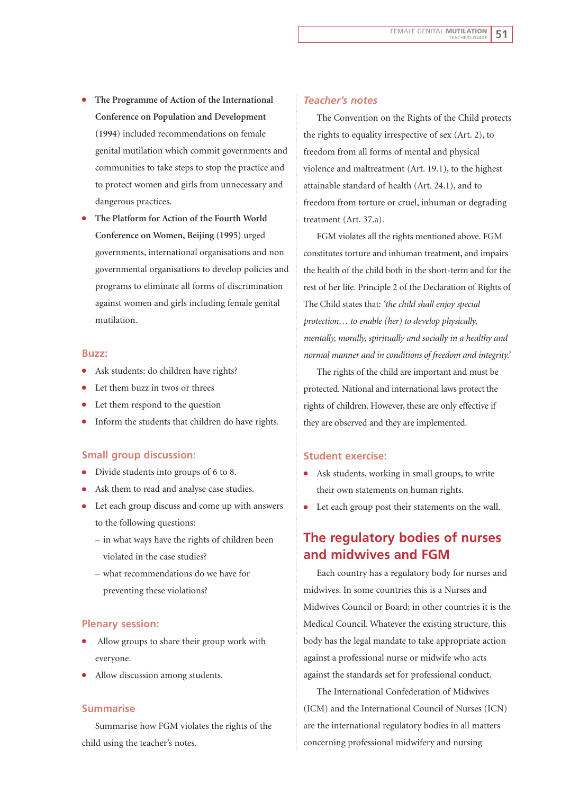- The Programme of Action of the International **Conference on Population and Development (1994**) included recommendations on female genital mutilation which commit governments and communities to take steps to stop the practice and to protect women and girls from unnecessary and dangerous practices.
- The Platform for Action of the Fourth World **Conference on Women, Beijing (1995)** urged governments, international organisations and non governmental organisations to develop policies and programs to eliminate all forms of discrimination against women and girls including female genital mutilation.

#### **Buzz:**

- Ask students: do children have rights?
- Let them buzz in twos or threes
- Let them respond to the question
- Inform the students that children do have rights.

#### **Small group discussion:**

- Divide students into groups of 6 to 8.
- Ask them to read and analyse case studies.
- Let each group discuss and come up with answers to the following questions:
	- **–** in what ways have the rights of children been violated in the case studies?
	- **–** what recommendations do we have for preventing these violations?

#### **Plenary session:**

- Allow groups to share their group work with everyone.
- Allow discussion among students.

#### **Summarise**

Summarise how FGM violates the rights of the child using the teacher's notes.

#### *Teacher's notes*

The Convention on the Rights of the Child protects the rights to equality irrespective of sex (Art. 2), to freedom from all forms of mental and physical violence and maltreatment (Art. 19.1), to the highest attainable standard of health (Art. 24.1), and to freedom from torture or cruel, inhuman or degrading treatment (Art. 37.a).

FGM violates all the rights mentioned above. FGM constitutes torture and inhuman treatment, and impairs the health of the child both in the short-term and for the rest of her life. Principle 2 of the Declaration of Rights of The Child states that: *'the child shall enjoy special protection… to enable (her) to develop physically, mentally, morally, spiritually and socially in a healthy and normal manner and in conditions of freedom and integrity.'*

The rights of the child are important and must be protected. National and international laws protect the rights of children. However, these are only effective if they are observed and they are implemented.

#### **Student exercise:**

- Ask students, working in small groups, to write their own statements on human rights.
- Let each group post their statements on the wall.

# **The regulatory bodies of nurses and midwives and FGM**

Each country has a regulatory body for nurses and midwives. In some countries this is a Nurses and Midwives Council or Board; in other countries it is the Medical Council. Whatever the existing structure, this body has the legal mandate to take appropriate action against a professional nurse or midwife who acts against the standards set for professional conduct.

The International Confederation of Midwives (ICM) and the International Council of Nurses (ICN) are the international regulatory bodies in all matters concerning professional midwifery and nursing